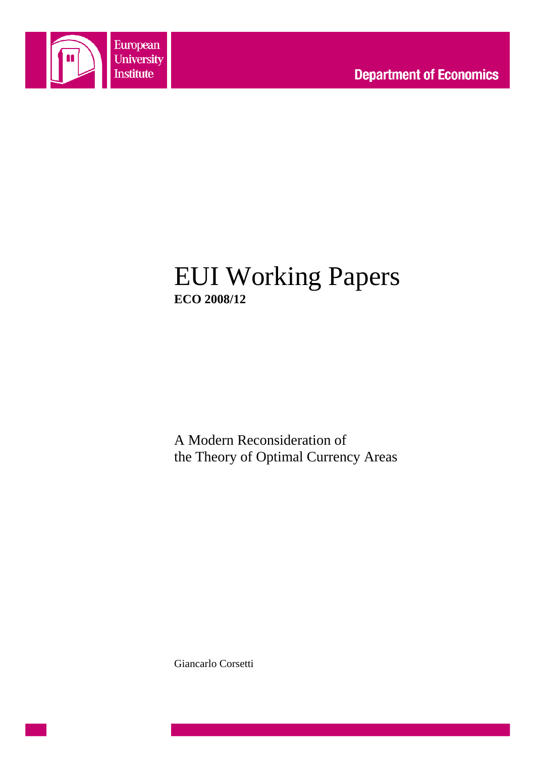

## EUI Working Papers **ECO 2008/12**

A Modern Reconsideration of the Theory of Optimal Currency Areas

Giancarlo Corsetti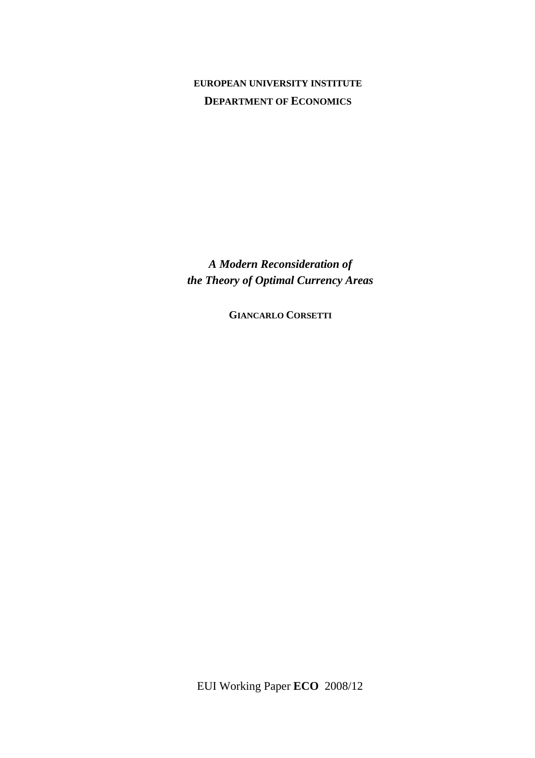## **EUROPEAN UNIVERSITY INSTITUTE DEPARTMENT OF ECONOMICS**

*A Modern Reconsideration of the Theory of Optimal Currency Areas* 

**GIANCARLO CORSETTI**

EUI Working Paper **ECO** 2008/12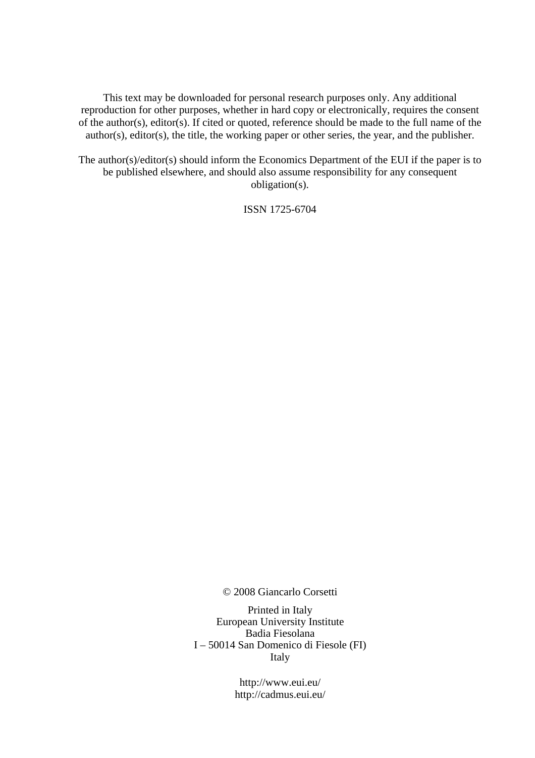This text may be downloaded for personal research purposes only. Any additional reproduction for other purposes, whether in hard copy or electronically, requires the consent of the author(s), editor(s). If cited or quoted, reference should be made to the full name of the author(s), editor(s), the title, the working paper or other series, the year, and the publisher.

The author(s)/editor(s) should inform the Economics Department of the EUI if the paper is to be published elsewhere, and should also assume responsibility for any consequent obligation(s).

ISSN 1725-6704

© 2008 Giancarlo Corsetti

Printed in Italy European University Institute Badia Fiesolana I – 50014 San Domenico di Fiesole (FI) Italy

> http://www.eui.eu/ http://cadmus.eui.eu/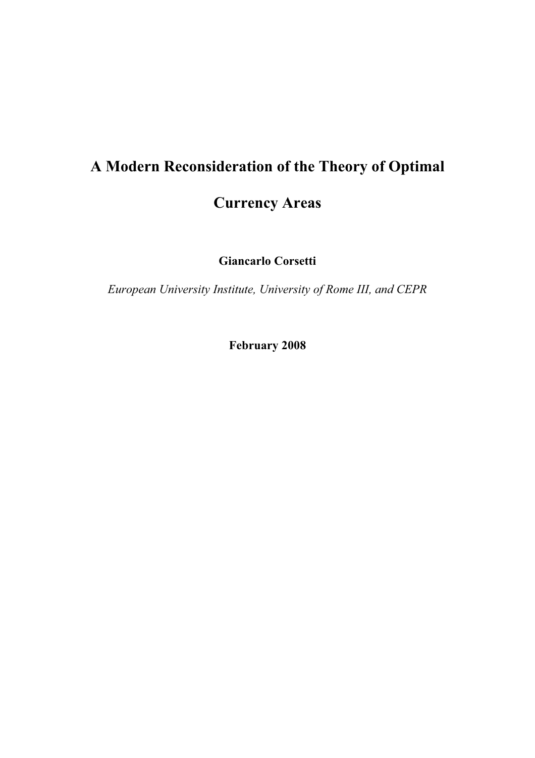# **A Modern Reconsideration of the Theory of Optimal Currency Areas**

**Giancarlo Corsetti** 

*European University Institute, University of Rome III, and CEPR* 

**February 2008**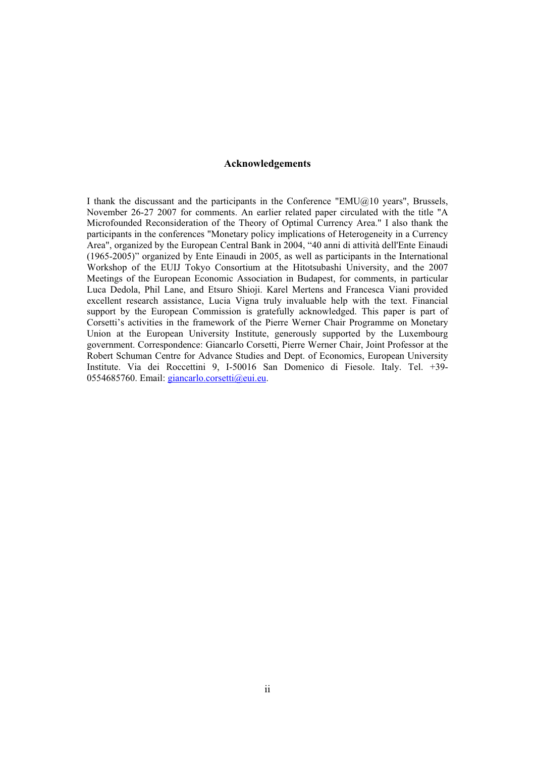#### **Acknowledgements**

I thank the discussant and the participants in the Conference "EMU $@10$  years", Brussels, November 26-27 2007 for comments. An earlier related paper circulated with the title "A Microfounded Reconsideration of the Theory of Optimal Currency Area." I also thank the participants in the conferences "Monetary policy implications of Heterogeneity in a Currency Area", organized by the European Central Bank in 2004, "40 anni di attività dell'Ente Einaudi (1965-2005)" organized by Ente Einaudi in 2005, as well as participants in the International Workshop of the EUIJ Tokyo Consortium at the Hitotsubashi University, and the 2007 Meetings of the European Economic Association in Budapest, for comments, in particular Luca Dedola, Phil Lane, and Etsuro Shioji. Karel Mertens and Francesca Viani provided excellent research assistance, Lucia Vigna truly invaluable help with the text. Financial support by the European Commission is gratefully acknowledged. This paper is part of Corsetti's activities in the framework of the Pierre Werner Chair Programme on Monetary Union at the European University Institute, generously supported by the Luxembourg government. Correspondence: Giancarlo Corsetti, Pierre Werner Chair, Joint Professor at the Robert Schuman Centre for Advance Studies and Dept. of Economics, European University Institute. Via dei Roccettini 9, I-50016 San Domenico di Fiesole. Italy. Tel. +39- 0554685760. Email: giancarlo.corsetti@eui.eu.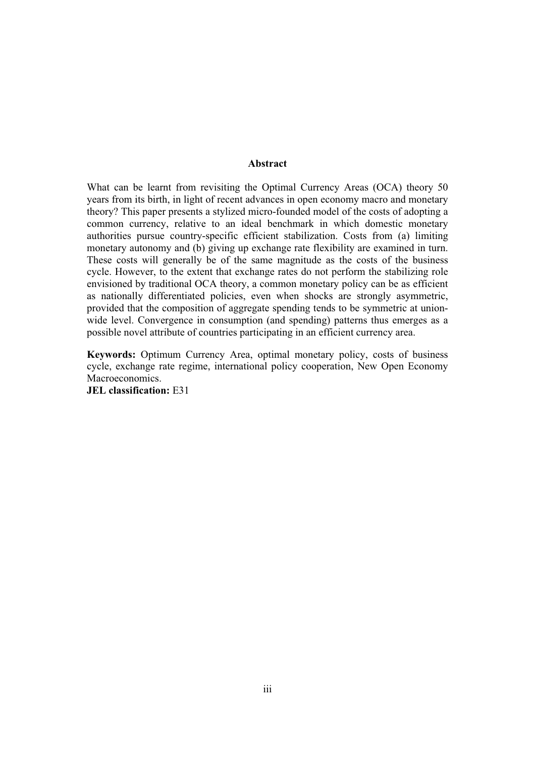#### **Abstract**

What can be learnt from revisiting the Optimal Currency Areas (OCA) theory 50 years from its birth, in light of recent advances in open economy macro and monetary theory? This paper presents a stylized micro-founded model of the costs of adopting a common currency, relative to an ideal benchmark in which domestic monetary authorities pursue country-specific efficient stabilization. Costs from (a) limiting monetary autonomy and (b) giving up exchange rate flexibility are examined in turn. These costs will generally be of the same magnitude as the costs of the business cycle. However, to the extent that exchange rates do not perform the stabilizing role envisioned by traditional OCA theory, a common monetary policy can be as efficient as nationally differentiated policies, even when shocks are strongly asymmetric, provided that the composition of aggregate spending tends to be symmetric at unionwide level. Convergence in consumption (and spending) patterns thus emerges as a possible novel attribute of countries participating in an efficient currency area.

**Keywords:** Optimum Currency Area, optimal monetary policy, costs of business cycle, exchange rate regime, international policy cooperation, New Open Economy Macroeconomics.

**JEL classification:** E31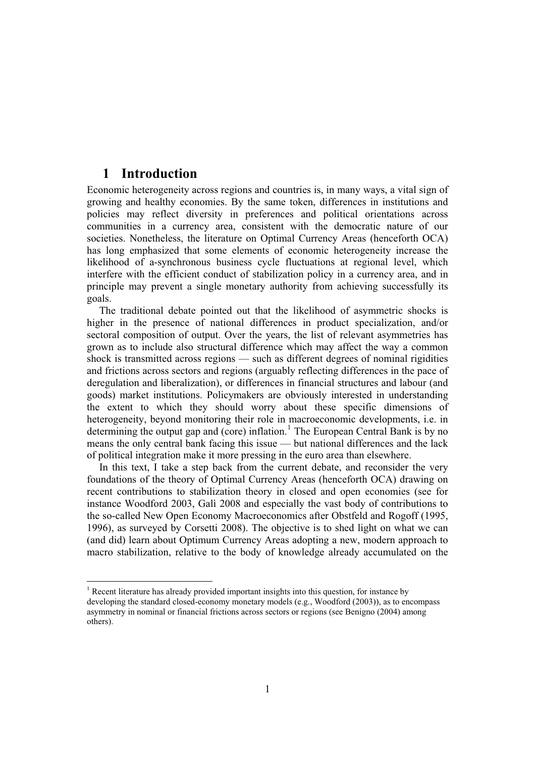## **1 Introduction**

Economic heterogeneity across regions and countries is, in many ways, a vital sign of growing and healthy economies. By the same token, differences in institutions and policies may reflect diversity in preferences and political orientations across communities in a currency area, consistent with the democratic nature of our societies. Nonetheless, the literature on Optimal Currency Areas (henceforth OCA) has long emphasized that some elements of economic heterogeneity increase the likelihood of a-synchronous business cycle fluctuations at regional level, which interfere with the efficient conduct of stabilization policy in a currency area, and in principle may prevent a single monetary authority from achieving successfully its goals.

The traditional debate pointed out that the likelihood of asymmetric shocks is higher in the presence of national differences in product specialization, and/or sectoral composition of output. Over the years, the list of relevant asymmetries has grown as to include also structural difference which may affect the way a common shock is transmitted across regions — such as different degrees of nominal rigidities and frictions across sectors and regions (arguably reflecting differences in the pace of deregulation and liberalization), or differences in financial structures and labour (and goods) market institutions. Policymakers are obviously interested in understanding the extent to which they should worry about these specific dimensions of heterogeneity, beyond monitoring their role in macroeconomic developments, i.e. in determining the output gap and (core) inflation.<sup>1</sup> The European Central Bank is by no means the only central bank facing this issue — but national differences and the lack of political integration make it more pressing in the euro area than elsewhere.

In this text, I take a step back from the current debate, and reconsider the very foundations of the theory of Optimal Currency Areas (henceforth OCA) drawing on recent contributions to stabilization theory in closed and open economies (see for instance Woodford 2003, Galì 2008 and especially the vast body of contributions to the so-called New Open Economy Macroeconomics after Obstfeld and Rogoff (1995, 1996), as surveyed by Corsetti 2008). The objective is to shed light on what we can (and did) learn about Optimum Currency Areas adopting a new, modern approach to macro stabilization, relative to the body of knowledge already accumulated on the

<sup>&</sup>lt;sup>1</sup> Recent literature has already provided important insights into this question, for instance by developing the standard closed-economy monetary models (e.g., Woodford (2003)), as to encompass asymmetry in nominal or financial frictions across sectors or regions (see Benigno (2004) among others).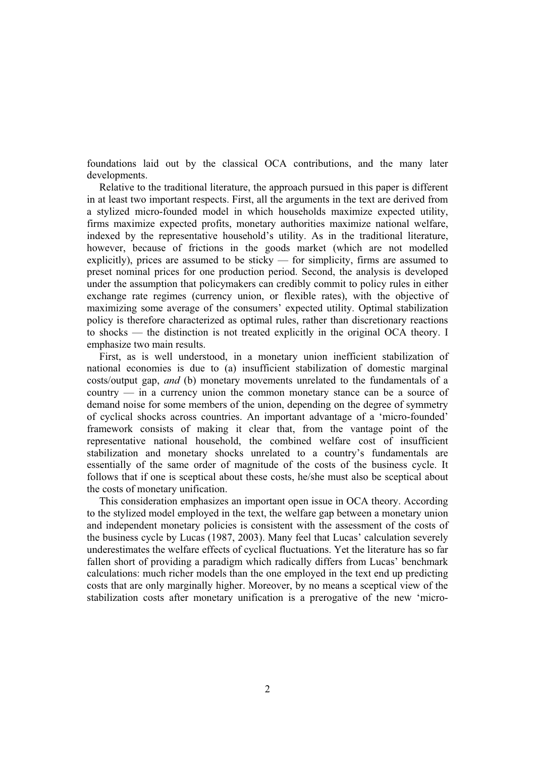foundations laid out by the classical OCA contributions, and the many later developments.

Relative to the traditional literature, the approach pursued in this paper is different in at least two important respects. First, all the arguments in the text are derived from a stylized micro-founded model in which households maximize expected utility, firms maximize expected profits, monetary authorities maximize national welfare, indexed by the representative household's utility. As in the traditional literature, however, because of frictions in the goods market (which are not modelled explicitly), prices are assumed to be sticky — for simplicity, firms are assumed to preset nominal prices for one production period. Second, the analysis is developed under the assumption that policymakers can credibly commit to policy rules in either exchange rate regimes (currency union, or flexible rates), with the objective of maximizing some average of the consumers' expected utility. Optimal stabilization policy is therefore characterized as optimal rules, rather than discretionary reactions to shocks — the distinction is not treated explicitly in the original OCA theory. I emphasize two main results.

First, as is well understood, in a monetary union inefficient stabilization of national economies is due to (a) insufficient stabilization of domestic marginal costs/output gap, *and* (b) monetary movements unrelated to the fundamentals of a country — in a currency union the common monetary stance can be a source of demand noise for some members of the union, depending on the degree of symmetry of cyclical shocks across countries. An important advantage of a 'micro-founded' framework consists of making it clear that, from the vantage point of the representative national household, the combined welfare cost of insufficient stabilization and monetary shocks unrelated to a country's fundamentals are essentially of the same order of magnitude of the costs of the business cycle. It follows that if one is sceptical about these costs, he/she must also be sceptical about the costs of monetary unification.

This consideration emphasizes an important open issue in OCA theory. According to the stylized model employed in the text, the welfare gap between a monetary union and independent monetary policies is consistent with the assessment of the costs of the business cycle by Lucas (1987, 2003). Many feel that Lucas' calculation severely underestimates the welfare effects of cyclical fluctuations. Yet the literature has so far fallen short of providing a paradigm which radically differs from Lucas' benchmark calculations: much richer models than the one employed in the text end up predicting costs that are only marginally higher. Moreover, by no means a sceptical view of the stabilization costs after monetary unification is a prerogative of the new 'micro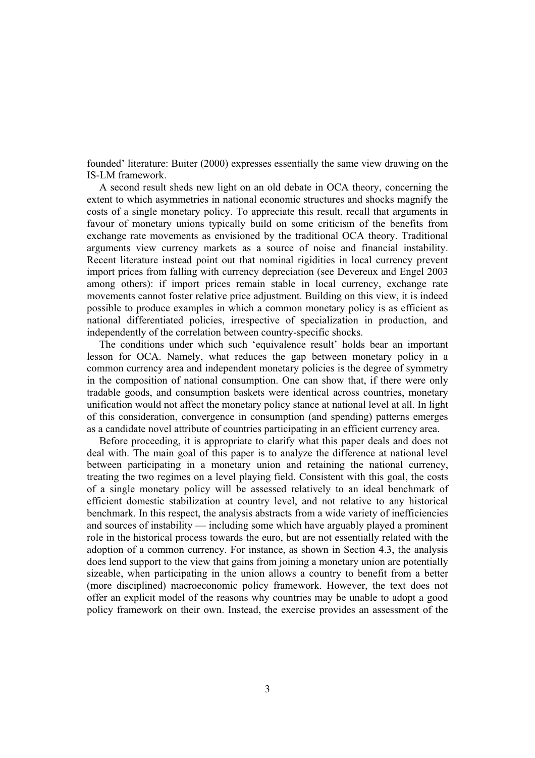founded' literature: Buiter (2000) expresses essentially the same view drawing on the IS-LM framework.

A second result sheds new light on an old debate in OCA theory, concerning the extent to which asymmetries in national economic structures and shocks magnify the costs of a single monetary policy. To appreciate this result, recall that arguments in favour of monetary unions typically build on some criticism of the benefits from exchange rate movements as envisioned by the traditional OCA theory. Traditional arguments view currency markets as a source of noise and financial instability. Recent literature instead point out that nominal rigidities in local currency prevent import prices from falling with currency depreciation (see Devereux and Engel 2003 among others): if import prices remain stable in local currency, exchange rate movements cannot foster relative price adjustment. Building on this view, it is indeed possible to produce examples in which a common monetary policy is as efficient as national differentiated policies, irrespective of specialization in production, and independently of the correlation between country-specific shocks.

The conditions under which such 'equivalence result' holds bear an important lesson for OCA. Namely, what reduces the gap between monetary policy in a common currency area and independent monetary policies is the degree of symmetry in the composition of national consumption. One can show that, if there were only tradable goods, and consumption baskets were identical across countries, monetary unification would not affect the monetary policy stance at national level at all. In light of this consideration, convergence in consumption (and spending) patterns emerges as a candidate novel attribute of countries participating in an efficient currency area.

Before proceeding, it is appropriate to clarify what this paper deals and does not deal with. The main goal of this paper is to analyze the difference at national level between participating in a monetary union and retaining the national currency, treating the two regimes on a level playing field. Consistent with this goal, the costs of a single monetary policy will be assessed relatively to an ideal benchmark of efficient domestic stabilization at country level, and not relative to any historical benchmark. In this respect, the analysis abstracts from a wide variety of inefficiencies and sources of instability — including some which have arguably played a prominent role in the historical process towards the euro, but are not essentially related with the adoption of a common currency. For instance, as shown in Section 4.3, the analysis does lend support to the view that gains from joining a monetary union are potentially sizeable, when participating in the union allows a country to benefit from a better (more disciplined) macroeconomic policy framework. However, the text does not offer an explicit model of the reasons why countries may be unable to adopt a good policy framework on their own. Instead, the exercise provides an assessment of the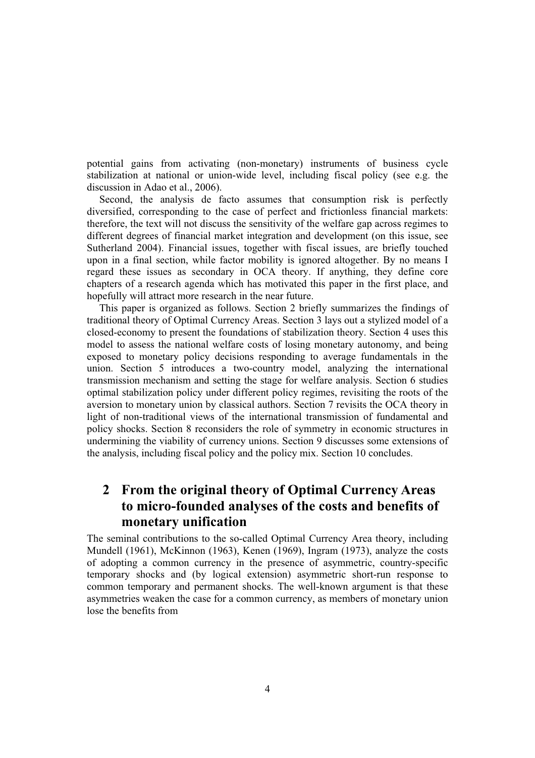potential gains from activating (non-monetary) instruments of business cycle stabilization at national or union-wide level, including fiscal policy (see e.g. the discussion in Adao et al., 2006).

Second, the analysis de facto assumes that consumption risk is perfectly diversified, corresponding to the case of perfect and frictionless financial markets: therefore, the text will not discuss the sensitivity of the welfare gap across regimes to different degrees of financial market integration and development (on this issue, see Sutherland 2004). Financial issues, together with fiscal issues, are briefly touched upon in a final section, while factor mobility is ignored altogether. By no means I regard these issues as secondary in OCA theory. If anything, they define core chapters of a research agenda which has motivated this paper in the first place, and hopefully will attract more research in the near future.

This paper is organized as follows. Section 2 briefly summarizes the findings of traditional theory of Optimal Currency Areas. Section 3 lays out a stylized model of a closed-economy to present the foundations of stabilization theory. Section 4 uses this model to assess the national welfare costs of losing monetary autonomy, and being exposed to monetary policy decisions responding to average fundamentals in the union. Section 5 introduces a two-country model, analyzing the international transmission mechanism and setting the stage for welfare analysis. Section 6 studies optimal stabilization policy under different policy regimes, revisiting the roots of the aversion to monetary union by classical authors. Section 7 revisits the OCA theory in light of non-traditional views of the international transmission of fundamental and policy shocks. Section 8 reconsiders the role of symmetry in economic structures in undermining the viability of currency unions. Section 9 discusses some extensions of the analysis, including fiscal policy and the policy mix. Section 10 concludes.

## **2 From the original theory of Optimal Currency Areas to micro-founded analyses of the costs and benefits of monetary unification**

The seminal contributions to the so-called Optimal Currency Area theory, including Mundell (1961), McKinnon (1963), Kenen (1969), Ingram (1973), analyze the costs of adopting a common currency in the presence of asymmetric, country-specific temporary shocks and (by logical extension) asymmetric short-run response to common temporary and permanent shocks. The well-known argument is that these asymmetries weaken the case for a common currency, as members of monetary union lose the benefits from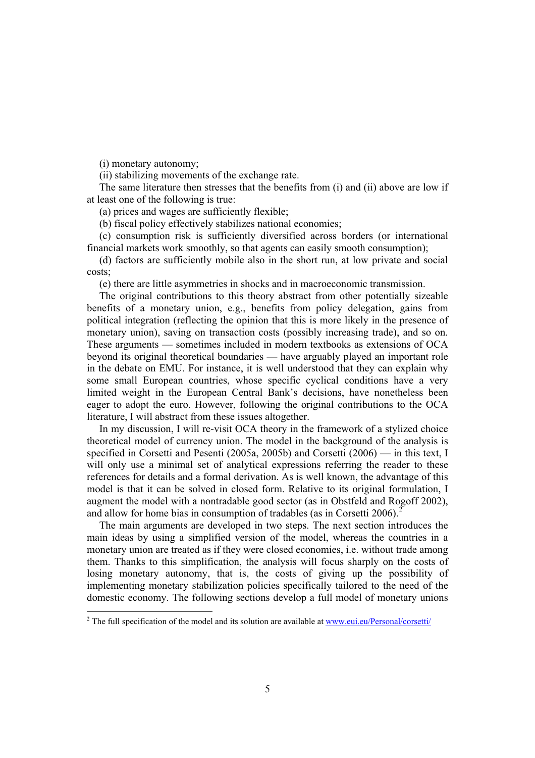(i) monetary autonomy;

(ii) stabilizing movements of the exchange rate.

The same literature then stresses that the benefits from (i) and (ii) above are low if at least one of the following is true:

(a) prices and wages are sufficiently flexible;

(b) fiscal policy effectively stabilizes national economies;

(c) consumption risk is sufficiently diversified across borders (or international financial markets work smoothly, so that agents can easily smooth consumption);

(d) factors are sufficiently mobile also in the short run, at low private and social costs;

(e) there are little asymmetries in shocks and in macroeconomic transmission.

The original contributions to this theory abstract from other potentially sizeable benefits of a monetary union, e.g., benefits from policy delegation, gains from political integration (reflecting the opinion that this is more likely in the presence of monetary union), saving on transaction costs (possibly increasing trade), and so on. These arguments — sometimes included in modern textbooks as extensions of OCA beyond its original theoretical boundaries — have arguably played an important role in the debate on EMU. For instance, it is well understood that they can explain why some small European countries, whose specific cyclical conditions have a very limited weight in the European Central Bank's decisions, have nonetheless been eager to adopt the euro. However, following the original contributions to the OCA literature, I will abstract from these issues altogether.

In my discussion, I will re-visit OCA theory in the framework of a stylized choice theoretical model of currency union. The model in the background of the analysis is specified in Corsetti and Pesenti (2005a, 2005b) and Corsetti (2006) — in this text, I will only use a minimal set of analytical expressions referring the reader to these references for details and a formal derivation. As is well known, the advantage of this model is that it can be solved in closed form. Relative to its original formulation, I augment the model with a nontradable good sector (as in Obstfeld and Rogoff 2002), and allow for home bias in consumption of tradables (as in Corsetti  $2006$ ).<sup>2</sup>

The main arguments are developed in two steps. The next section introduces the main ideas by using a simplified version of the model, whereas the countries in a monetary union are treated as if they were closed economies, i.e. without trade among them. Thanks to this simplification, the analysis will focus sharply on the costs of losing monetary autonomy, that is, the costs of giving up the possibility of implementing monetary stabilization policies specifically tailored to the need of the domestic economy. The following sections develop a full model of monetary unions

<sup>&</sup>lt;sup>2</sup> The full specification of the model and its solution are available at www.eui.eu/Personal/corsetti/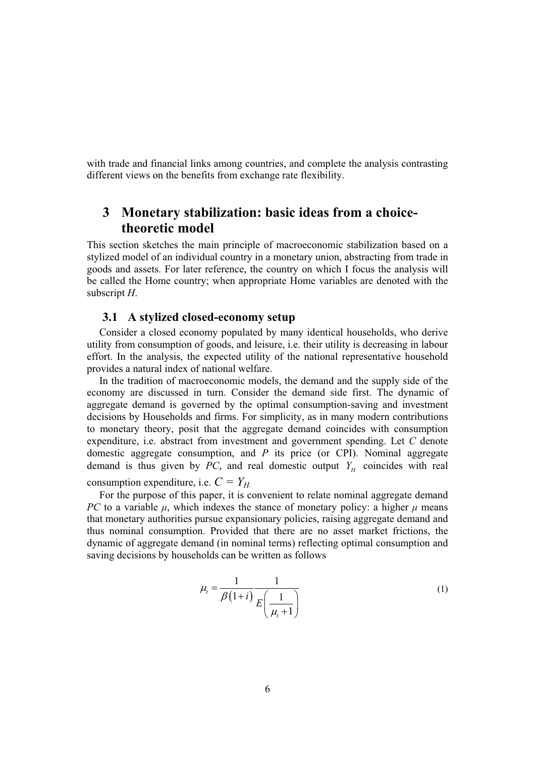with trade and financial links among countries, and complete the analysis contrasting different views on the benefits from exchange rate flexibility.

## **3 Monetary stabilization: basic ideas from a choicetheoretic model**

This section sketches the main principle of macroeconomic stabilization based on a stylized model of an individual country in a monetary union, abstracting from trade in goods and assets. For later reference, the country on which I focus the analysis will be called the Home country; when appropriate Home variables are denoted with the subscript *H*.

#### **3.1 A stylized closed-economy setup**

Consider a closed economy populated by many identical households, who derive utility from consumption of goods, and leisure, i.e. their utility is decreasing in labour effort. In the analysis, the expected utility of the national representative household provides a natural index of national welfare.

In the tradition of macroeconomic models, the demand and the supply side of the economy are discussed in turn. Consider the demand side first. The dynamic of aggregate demand is governed by the optimal consumption-saving and investment decisions by Households and firms. For simplicity, as in many modern contributions to monetary theory, posit that the aggregate demand coincides with consumption expenditure, i.e. abstract from investment and government spending. Let *C* denote domestic aggregate consumption, and *P* its price (or CPI). Nominal aggregate demand is thus given by *PC*, and real domestic output  $Y_H$  coincides with real consumption expenditure, i.e.  $C = Y_H$ .

For the purpose of this paper, it is convenient to relate nominal aggregate demand *PC* to a variable  $\mu$ , which indexes the stance of monetary policy: a higher  $\mu$  means that monetary authorities pursue expansionary policies, raising aggregate demand and thus nominal consumption. Provided that there are no asset market frictions, the dynamic of aggregate demand (in nominal terms) reflecting optimal consumption and saving decisions by households can be written as follows

$$
\mu_{t} = \frac{1}{\beta(1+i)} \frac{1}{E\left(\frac{1}{\mu_{t}+1}\right)}\tag{1}
$$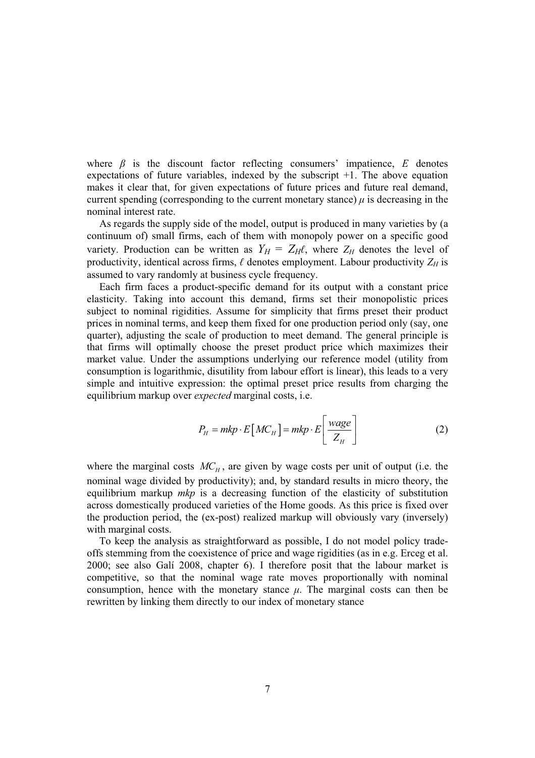where  $\beta$  is the discount factor reflecting consumers' impatience,  $E$  denotes expectations of future variables, indexed by the subscript +1. The above equation makes it clear that, for given expectations of future prices and future real demand, current spending (corresponding to the current monetary stance)  $\mu$  is decreasing in the nominal interest rate.

As regards the supply side of the model, output is produced in many varieties by (a continuum of) small firms, each of them with monopoly power on a specific good variety. Production can be written as  $Y_H = Z_H \ell$ , where  $Z_H$  denotes the level of productivity, identical across firms,  $\ell$  denotes employment. Labour productivity  $Z_H$  is assumed to vary randomly at business cycle frequency.

Each firm faces a product-specific demand for its output with a constant price elasticity. Taking into account this demand, firms set their monopolistic prices subject to nominal rigidities. Assume for simplicity that firms preset their product prices in nominal terms, and keep them fixed for one production period only (say, one quarter), adjusting the scale of production to meet demand. The general principle is that firms will optimally choose the preset product price which maximizes their market value. Under the assumptions underlying our reference model (utility from consumption is logarithmic, disutility from labour effort is linear), this leads to a very simple and intuitive expression: the optimal preset price results from charging the equilibrium markup over *expected* marginal costs, i.e.

$$
P_H = mkp \cdot E\left[MC_H\right] = mkp \cdot E\left[\frac{wage}{Z_H}\right] \tag{2}
$$

where the marginal costs  $MC_H$ , are given by wage costs per unit of output (i.e. the nominal wage divided by productivity); and, by standard results in micro theory, the equilibrium markup *mkp* is a decreasing function of the elasticity of substitution across domestically produced varieties of the Home goods. As this price is fixed over the production period, the (ex-post) realized markup will obviously vary (inversely) with marginal costs.

To keep the analysis as straightforward as possible, I do not model policy tradeoffs stemming from the coexistence of price and wage rigidities (as in e.g. Erceg et al. 2000; see also Galí 2008, chapter 6). I therefore posit that the labour market is competitive, so that the nominal wage rate moves proportionally with nominal consumption, hence with the monetary stance  $\mu$ . The marginal costs can then be rewritten by linking them directly to our index of monetary stance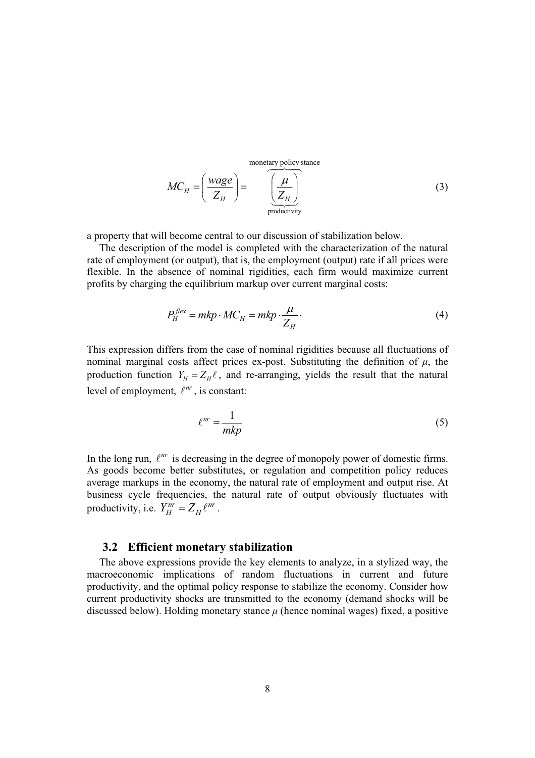monetary policy stance

$$
MC_H = \left(\frac{wage}{Z_H}\right) = \left(\frac{\mu}{Z_H}\right) \tag{3}
$$

a property that will become central to our discussion of stabilization below.

The description of the model is completed with the characterization of the natural rate of employment (or output), that is, the employment (output) rate if all prices were flexible. In the absence of nominal rigidities, each firm would maximize current profits by charging the equilibrium markup over current marginal costs:

$$
P_H^{flex} = mkp \cdot MC_H = mkp \cdot \frac{\mu}{Z_H}.
$$
\n(4)

This expression differs from the case of nominal rigidities because all fluctuations of nominal marginal costs affect prices ex-post. Substituting the definition of  $\mu$ , the production function  $Y_H = Z_H \ell$ , and re-arranging, yields the result that the natural level of employment,  $\ell^{nr}$ , is constant:

$$
\ell^{nr} = \frac{1}{mkp} \tag{5}
$$

In the long run,  $\ell^{nr}$  is decreasing in the degree of monopoly power of domestic firms. As goods become better substitutes, or regulation and competition policy reduces average markups in the economy, the natural rate of employment and output rise. At business cycle frequencies, the natural rate of output obviously fluctuates with productivity, i.e.  $Y_H^{nr} = Z_H \ell^{nr}$ .

#### **3.2 Efficient monetary stabilization**

The above expressions provide the key elements to analyze, in a stylized way, the macroeconomic implications of random fluctuations in current and future productivity, and the optimal policy response to stabilize the economy. Consider how current productivity shocks are transmitted to the economy (demand shocks will be discussed below). Holding monetary stance  $\mu$  (hence nominal wages) fixed, a positive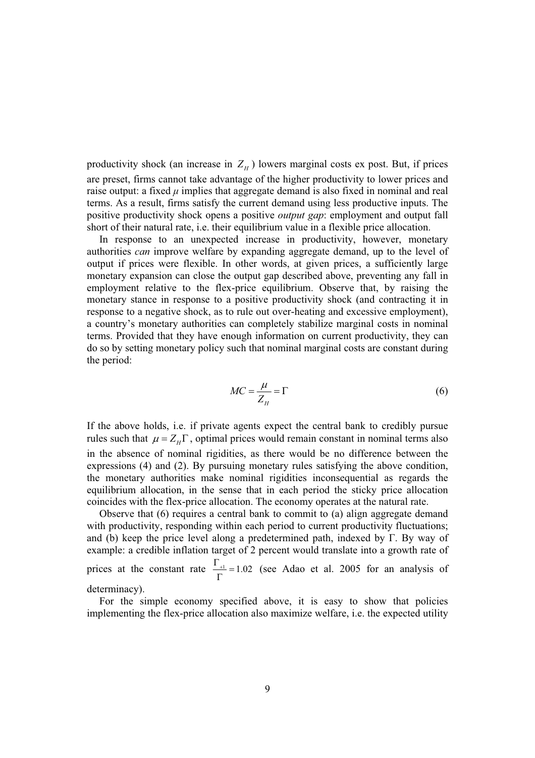productivity shock (an increase in  $Z_H$ ) lowers marginal costs ex post. But, if prices are preset, firms cannot take advantage of the higher productivity to lower prices and raise output: a fixed  $\mu$  implies that aggregate demand is also fixed in nominal and real terms. As a result, firms satisfy the current demand using less productive inputs. The positive productivity shock opens a positive *output gap*: employment and output fall short of their natural rate, i.e. their equilibrium value in a flexible price allocation.

In response to an unexpected increase in productivity, however, monetary authorities *can* improve welfare by expanding aggregate demand, up to the level of output if prices were flexible. In other words, at given prices, a sufficiently large monetary expansion can close the output gap described above, preventing any fall in employment relative to the flex-price equilibrium. Observe that, by raising the monetary stance in response to a positive productivity shock (and contracting it in response to a negative shock, as to rule out over-heating and excessive employment), a country's monetary authorities can completely stabilize marginal costs in nominal terms. Provided that they have enough information on current productivity, they can do so by setting monetary policy such that nominal marginal costs are constant during the period:

$$
MC = \frac{\mu}{Z_H} = \Gamma \tag{6}
$$

If the above holds, i.e. if private agents expect the central bank to credibly pursue rules such that  $\mu = Z_H \Gamma$ , optimal prices would remain constant in nominal terms also in the absence of nominal rigidities, as there would be no difference between the expressions (4) and (2). By pursuing monetary rules satisfying the above condition, the monetary authorities make nominal rigidities inconsequential as regards the equilibrium allocation, in the sense that in each period the sticky price allocation coincides with the flex-price allocation. The economy operates at the natural rate.

Observe that (6) requires a central bank to commit to (a) align aggregate demand with productivity, responding within each period to current productivity fluctuations; and (b) keep the price level along a predetermined path, indexed by  $\Gamma$ . By way of example: a credible inflation target of 2 percent would translate into a growth rate of prices at the constant rate  $\frac{\Gamma_{+1}}{\Gamma}$  = 1.02 (see Adao et al. 2005 for an analysis of determinacy).

For the simple economy specified above, it is easy to show that policies implementing the flex-price allocation also maximize welfare, i.e. the expected utility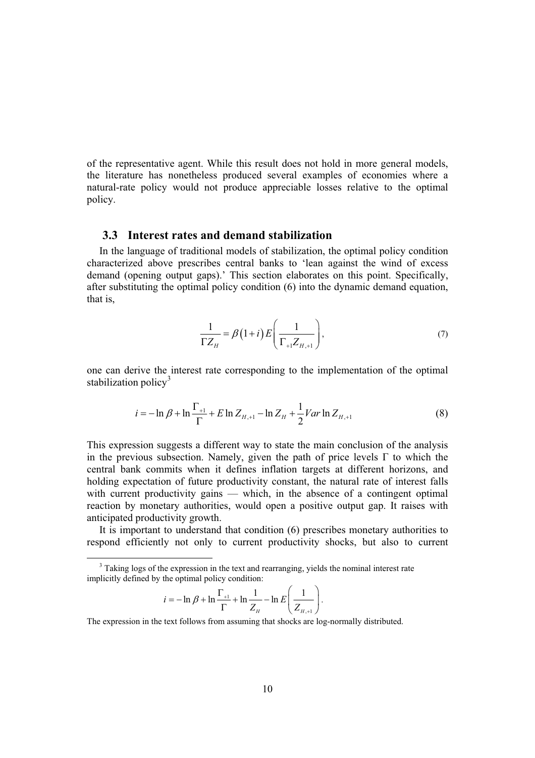of the representative agent. While this result does not hold in more general models, the literature has nonetheless produced several examples of economies where a natural-rate policy would not produce appreciable losses relative to the optimal policy.

#### **3.3 Interest rates and demand stabilization**

In the language of traditional models of stabilization, the optimal policy condition characterized above prescribes central banks to 'lean against the wind of excess demand (opening output gaps).' This section elaborates on this point. Specifically, after substituting the optimal policy condition (6) into the dynamic demand equation, that is,

$$
\frac{1}{\Gamma Z_H} = \beta \left( 1 + i \right) E \left( \frac{1}{\Gamma_{+1} Z_{H,+1}} \right),\tag{7}
$$

one can derive the interest rate corresponding to the implementation of the optimal stabilization policy $3$ 

$$
i = -\ln \beta + \ln \frac{\Gamma_{+1}}{\Gamma} + E \ln Z_{H,+1} - \ln Z_H + \frac{1}{2} Var \ln Z_{H,+1}
$$
(8)

This expression suggests a different way to state the main conclusion of the analysis in the previous subsection. Namely, given the path of price levels  $\Gamma$  to which the central bank commits when it defines inflation targets at different horizons, and holding expectation of future productivity constant, the natural rate of interest falls with current productivity gains — which, in the absence of a contingent optimal reaction by monetary authorities, would open a positive output gap. It raises with anticipated productivity growth.

It is important to understand that condition (6) prescribes monetary authorities to respond efficiently not only to current productivity shocks, but also to current

$$
i = -\ln \beta + \ln \frac{\Gamma_{+1}}{\Gamma} + \ln \frac{1}{Z_{H}} - \ln E \left( \frac{1}{Z_{H,+1}} \right).
$$

The expression in the text follows from assuming that shocks are log-normally distributed.

 $3$  Taking logs of the expression in the text and rearranging, yields the nominal interest rate implicitly defined by the optimal policy condition: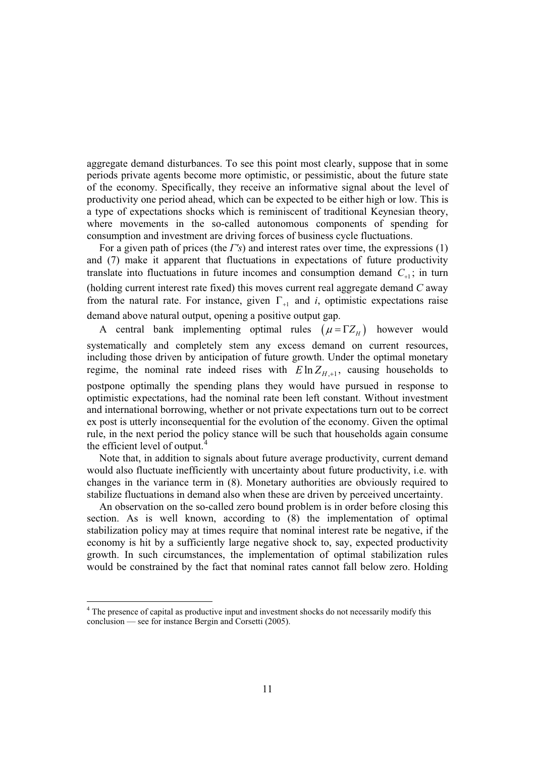aggregate demand disturbances. To see this point most clearly, suppose that in some periods private agents become more optimistic, or pessimistic, about the future state of the economy. Specifically, they receive an informative signal about the level of productivity one period ahead, which can be expected to be either high or low. This is a type of expectations shocks which is reminiscent of traditional Keynesian theory, where movements in the so-called autonomous components of spending for consumption and investment are driving forces of business cycle fluctuations.

For a given path of prices (the *I's*) and interest rates over time, the expressions (1) and (7) make it apparent that fluctuations in expectations of future productivity translate into fluctuations in future incomes and consumption demand  $C_{+1}$ ; in turn (holding current interest rate fixed) this moves current real aggregate demand *C* away from the natural rate. For instance, given  $\Gamma_{+1}$  and *i*, optimistic expectations raise demand above natural output, opening a positive output gap.

A central bank implementing optimal rules  $(\mu = \Gamma Z_H)$  however would systematically and completely stem any excess demand on current resources, including those driven by anticipation of future growth. Under the optimal monetary regime, the nominal rate indeed rises with  $E \ln Z_{H+1}$ , causing households to postpone optimally the spending plans they would have pursued in response to optimistic expectations, had the nominal rate been left constant. Without investment and international borrowing, whether or not private expectations turn out to be correct ex post is utterly inconsequential for the evolution of the economy. Given the optimal rule, in the next period the policy stance will be such that households again consume the efficient level of output.<sup>4</sup>

Note that, in addition to signals about future average productivity, current demand would also fluctuate inefficiently with uncertainty about future productivity, i.e. with changes in the variance term in (8). Monetary authorities are obviously required to stabilize fluctuations in demand also when these are driven by perceived uncertainty.

An observation on the so-called zero bound problem is in order before closing this section. As is well known, according to (8) the implementation of optimal stabilization policy may at times require that nominal interest rate be negative, if the economy is hit by a sufficiently large negative shock to, say, expected productivity growth. In such circumstances, the implementation of optimal stabilization rules would be constrained by the fact that nominal rates cannot fall below zero. Holding

<sup>&</sup>lt;sup>4</sup> The presence of capital as productive input and investment shocks do not necessarily modify this conclusion — see for instance Bergin and Corsetti (2005).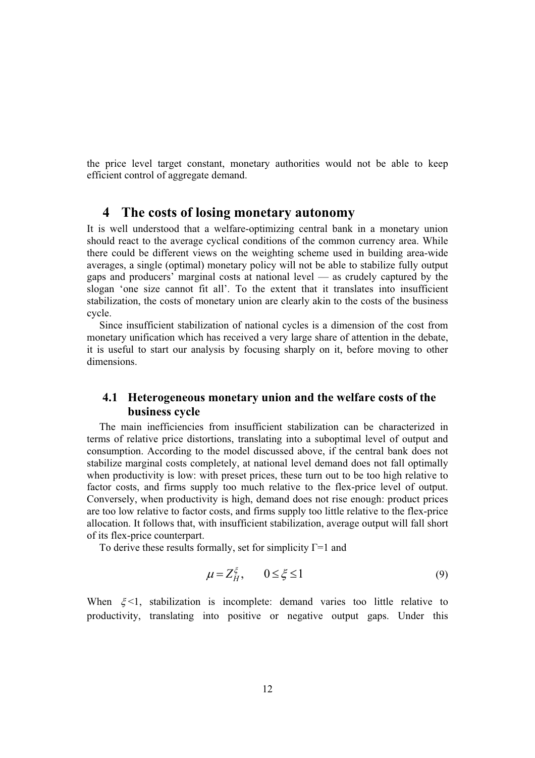the price level target constant, monetary authorities would not be able to keep efficient control of aggregate demand.

## **4 The costs of losing monetary autonomy**

It is well understood that a welfare-optimizing central bank in a monetary union should react to the average cyclical conditions of the common currency area. While there could be different views on the weighting scheme used in building area-wide averages, a single (optimal) monetary policy will not be able to stabilize fully output gaps and producers' marginal costs at national level — as crudely captured by the slogan 'one size cannot fit all'. To the extent that it translates into insufficient stabilization, the costs of monetary union are clearly akin to the costs of the business cycle.

Since insufficient stabilization of national cycles is a dimension of the cost from monetary unification which has received a very large share of attention in the debate, it is useful to start our analysis by focusing sharply on it, before moving to other dimensions.

## **4.1 Heterogeneous monetary union and the welfare costs of the business cycle**

The main inefficiencies from insufficient stabilization can be characterized in terms of relative price distortions, translating into a suboptimal level of output and consumption. According to the model discussed above, if the central bank does not stabilize marginal costs completely, at national level demand does not fall optimally when productivity is low: with preset prices, these turn out to be too high relative to factor costs, and firms supply too much relative to the flex-price level of output. Conversely, when productivity is high, demand does not rise enough: product prices are too low relative to factor costs, and firms supply too little relative to the flex-price allocation. It follows that, with insufficient stabilization, average output will fall short of its flex-price counterpart.

To derive these results formally, set for simplicity  $\Gamma$ =1 and

$$
\mu = Z_H^{\xi}, \qquad 0 \le \xi \le 1 \tag{9}
$$

When  $\xi$ <1, stabilization is incomplete: demand varies too little relative to productivity, translating into positive or negative output gaps. Under this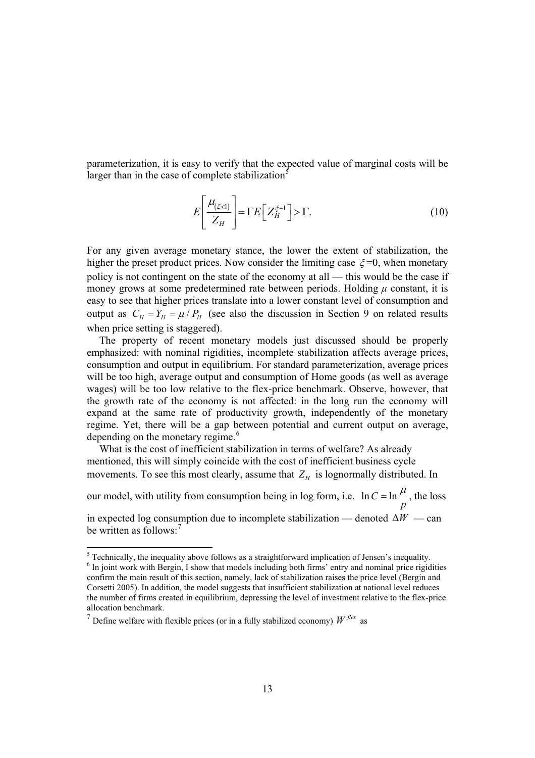parameterization, it is easy to verify that the expected value of marginal costs will be larger than in the case of complete stabilization $<sup>5</sup>$ </sup>

$$
E\left[\frac{\mu_{(\xi < 1)}}{Z_H}\right] = \Gamma E\left[Z_H^{\xi - 1}\right] > \Gamma. \tag{10}
$$

For any given average monetary stance, the lower the extent of stabilization, the higher the preset product prices. Now consider the limiting case  $\xi = 0$ , when monetary policy is not contingent on the state of the economy at all — this would be the case if money grows at some predetermined rate between periods. Holding  $\mu$  constant, it is easy to see that higher prices translate into a lower constant level of consumption and output as  $C_H = Y_H = \mu / P_H$  (see also the discussion in Section 9 on related results when price setting is staggered).

The property of recent monetary models just discussed should be properly emphasized: with nominal rigidities, incomplete stabilization affects average prices, consumption and output in equilibrium. For standard parameterization, average prices will be too high, average output and consumption of Home goods (as well as average wages) will be too low relative to the flex-price benchmark. Observe, however, that the growth rate of the economy is not affected: in the long run the economy will expand at the same rate of productivity growth, independently of the monetary regime. Yet, there will be a gap between potential and current output on average, depending on the monetary regime.<sup>6</sup>

What is the cost of inefficient stabilization in terms of welfare? As already mentioned, this will simply coincide with the cost of inefficient business cycle movements. To see this most clearly, assume that  $Z_H$  is lognormally distributed. In

our model, with utility from consumption being in log form, i.e.  $\ln C = \ln \frac{1}{r}$ *p*  $= \ln \frac{\mu}{\epsilon}$ , the loss in expected log consumption due to incomplete stabilization — denoted  $\Delta W$  — can be written as follows:<sup>7</sup>

<sup>&</sup>lt;sup>5</sup> Technically, the inequality above follows as a straightforward implication of Jensen's inequality.  $<sup>6</sup>$  In joint work with Bergin, I show that models including both firms' entry and nominal price rigidities</sup> confirm the main result of this section, namely, lack of stabilization raises the price level (Bergin and Corsetti 2005). In addition, the model suggests that insufficient stabilization at national level reduces the number of firms created in equilibrium, depressing the level of investment relative to the flex-price allocation benchmark.

<sup>&</sup>lt;sup>7</sup> Define welfare with flexible prices (or in a fully stabilized economy)  $W^{flex}$  as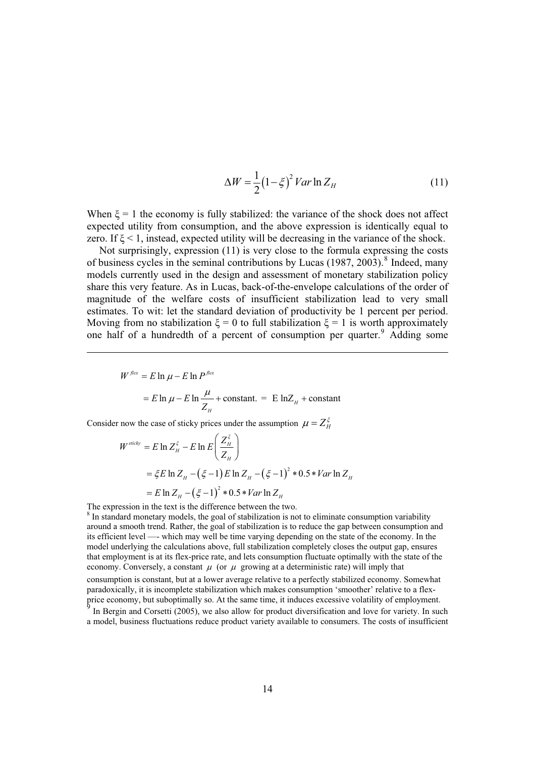$$
\Delta W = \frac{1}{2} \left( 1 - \xi \right)^2 Var \ln Z_H \tag{11}
$$

When  $\xi = 1$  the economy is fully stabilized: the variance of the shock does not affect expected utility from consumption, and the above expression is identically equal to zero. If  $\xi$  < 1, instead, expected utility will be decreasing in the variance of the shock.

Not surprisingly, expression (11) is very close to the formula expressing the costs of business cycles in the seminal contributions by Lucas (1987, 2003).<sup>8</sup> Indeed, many models currently used in the design and assessment of monetary stabilization policy share this very feature. As in Lucas, back-of-the-envelope calculations of the order of magnitude of the welfare costs of insufficient stabilization lead to very small estimates. To wit: let the standard deviation of productivity be 1 percent per period. Moving from no stabilization  $\xi = 0$  to full stabilization  $\xi = 1$  is worth approximately one half of a hundredth of a percent of consumption per quarter.<sup>9</sup> Adding some

$$
W^{flex} = E \ln \mu - E \ln P^{flex}
$$
  
=  $E \ln \mu - E \ln \frac{\mu}{Z_H}$  + constant. =  $E \ln Z_H$  + constant

Consider now the case of sticky prices under the assumption  $\mu = Z_H^{\xi}$ 

$$
W^{stick} = E \ln Z_H^{\xi} - E \ln E \left( \frac{Z_H^{\xi}}{Z_H} \right)
$$
  
=  $\xi E \ln Z_H - (\xi - 1) E \ln Z_H - (\xi - 1)^2 * 0.5 * Var \ln Z_H$   
=  $E \ln Z_H - (\xi - 1)^2 * 0.5 * Var \ln Z_H$ 

The expression in the text is the difference between the two.

<sup>8</sup> In standard monetary models, the goal of stabilization is not to eliminate consumption variability around a smooth trend. Rather, the goal of stabilization is to reduce the gap between consumption and its efficient level —- which may well be time varying depending on the state of the economy. In the model underlying the calculations above, full stabilization completely closes the output gap, ensures that employment is at its flex-price rate, and lets consumption fluctuate optimally with the state of the economy. Conversely, a constant  $\mu$  (or  $\mu$  growing at a deterministic rate) will imply that

consumption is constant, but at a lower average relative to a perfectly stabilized economy. Somewhat paradoxically, it is incomplete stabilization which makes consumption 'smoother' relative to a flexprice economy, but suboptimally so. At the same time, it induces excessive volatility of employment. In Bergin and Corsetti (2005), we also allow for product diversification and love for variety. In such a model, business fluctuations reduce product variety available to consumers. The costs of insufficient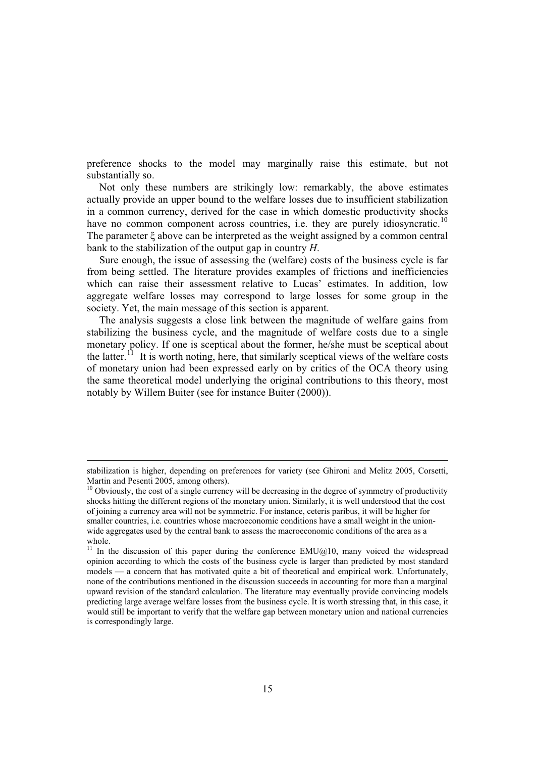preference shocks to the model may marginally raise this estimate, but not substantially so.

Not only these numbers are strikingly low: remarkably, the above estimates actually provide an upper bound to the welfare losses due to insufficient stabilization in a common currency, derived for the case in which domestic productivity shocks have no common component across countries, i.e. they are purely idiosyncratic.<sup>10</sup> The parameter  $\xi$  above can be interpreted as the weight assigned by a common central bank to the stabilization of the output gap in country *H*.

Sure enough, the issue of assessing the (welfare) costs of the business cycle is far from being settled. The literature provides examples of frictions and inefficiencies which can raise their assessment relative to Lucas' estimates. In addition, low aggregate welfare losses may correspond to large losses for some group in the society. Yet, the main message of this section is apparent.

The analysis suggests a close link between the magnitude of welfare gains from stabilizing the business cycle, and the magnitude of welfare costs due to a single monetary policy. If one is sceptical about the former, he/she must be sceptical about the latter.<sup>11</sup> It is worth noting, here, that similarly sceptical views of the welfare costs of monetary union had been expressed early on by critics of the OCA theory using the same theoretical model underlying the original contributions to this theory, most notably by Willem Buiter (see for instance Buiter (2000)).

stabilization is higher, depending on preferences for variety (see Ghironi and Melitz 2005, Corsetti, Martin and Pesenti 2005, among others).

<sup>&</sup>lt;sup>10</sup> Obviously, the cost of a single currency will be decreasing in the degree of symmetry of productivity shocks hitting the different regions of the monetary union. Similarly, it is well understood that the cost of joining a currency area will not be symmetric. For instance, ceteris paribus, it will be higher for smaller countries, i.e. countries whose macroeconomic conditions have a small weight in the unionwide aggregates used by the central bank to assess the macroeconomic conditions of the area as a whole.

<sup>&</sup>lt;sup>11</sup> In the discussion of this paper during the conference  $EMU@10$ , many voiced the widespread opinion according to which the costs of the business cycle is larger than predicted by most standard models — a concern that has motivated quite a bit of theoretical and empirical work. Unfortunately, none of the contributions mentioned in the discussion succeeds in accounting for more than a marginal upward revision of the standard calculation. The literature may eventually provide convincing models predicting large average welfare losses from the business cycle. It is worth stressing that, in this case, it would still be important to verify that the welfare gap between monetary union and national currencies is correspondingly large.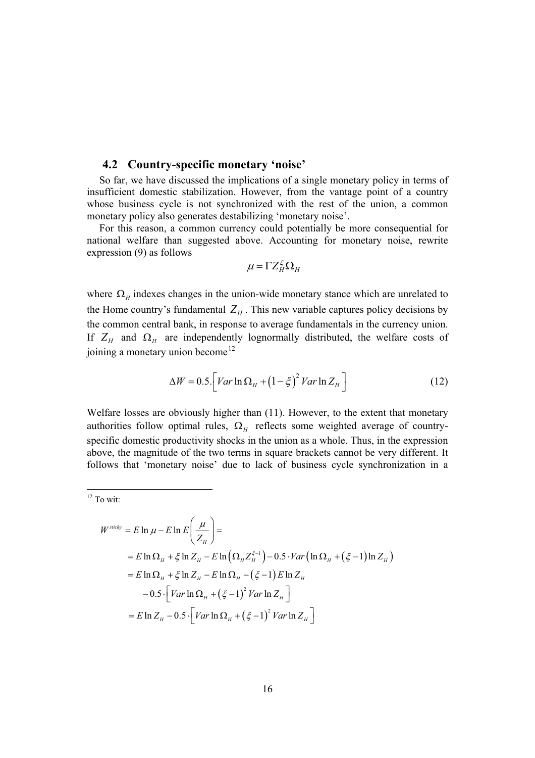#### **4.2 Country-specific monetary 'noise'**

So far, we have discussed the implications of a single monetary policy in terms of insufficient domestic stabilization. However, from the vantage point of a country whose business cycle is not synchronized with the rest of the union, a common monetary policy also generates destabilizing 'monetary noise'.

For this reason, a common currency could potentially be more consequential for national welfare than suggested above. Accounting for monetary noise, rewrite expression (9) as follows

$$
\mu = \Gamma Z_H^{\xi} \Omega_H
$$

where  $\Omega$ <sub>H</sub> indexes changes in the union-wide monetary stance which are unrelated to the Home country's fundamental  $Z_H$ . This new variable captures policy decisions by the common central bank, in response to average fundamentals in the currency union. If  $Z_H$  and  $\Omega_H$  are independently lognormally distributed, the welfare costs of joining a monetary union become<sup>12</sup>

$$
\Delta W = 0.5 \left[ Var \ln \Omega_H + \left(1 - \xi\right)^2 Var \ln Z_H \right] \tag{12}
$$

Welfare losses are obviously higher than (11). However, to the extent that monetary authorities follow optimal rules,  $\Omega_H$  reflects some weighted average of countryspecific domestic productivity shocks in the union as a whole. Thus, in the expression above, the magnitude of the two terms in square brackets cannot be very different. It follows that 'monetary noise' due to lack of business cycle synchronization in a

#### $12$  To wit:

$$
W^{stick} = E \ln \mu - E \ln E \left( \frac{\mu}{Z_H} \right) =
$$
  
=  $E \ln \Omega_H + \xi \ln Z_H - E \ln \left( \Omega_H Z_H^{\xi-1} \right) - 0.5 \cdot Var \left( \ln \Omega_H + (\xi - 1) \ln Z_H \right)$   
=  $E \ln \Omega_H + \xi \ln Z_H - E \ln \Omega_H - (\xi - 1) E \ln Z_H$   
 $- 0.5 \cdot \left[ Var \ln \Omega_H + (\xi - 1)^2 Var \ln Z_H \right]$   
=  $E \ln Z_H - 0.5 \cdot \left[ Var \ln \Omega_H + (\xi - 1)^2 Var \ln Z_H \right]$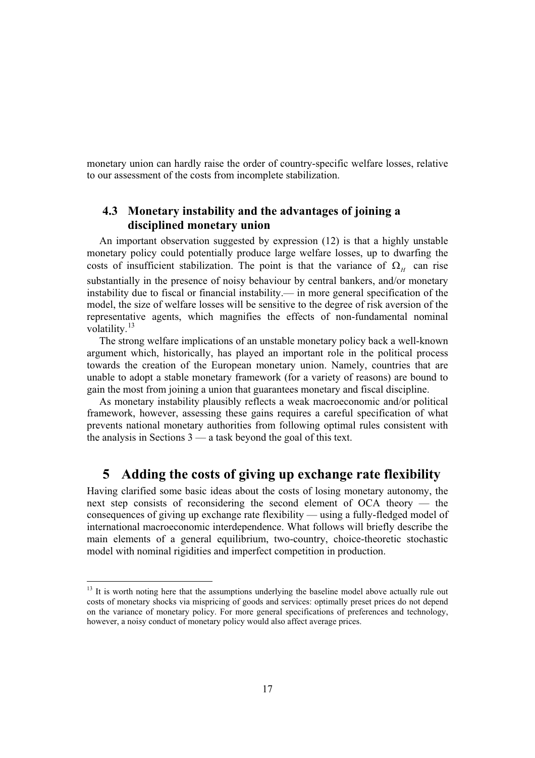monetary union can hardly raise the order of country-specific welfare losses, relative to our assessment of the costs from incomplete stabilization.

## **4.3 Monetary instability and the advantages of joining a disciplined monetary union**

An important observation suggested by expression (12) is that a highly unstable monetary policy could potentially produce large welfare losses, up to dwarfing the costs of insufficient stabilization. The point is that the variance of  $\Omega$ <sub>H</sub> can rise substantially in the presence of noisy behaviour by central bankers, and/or monetary instability due to fiscal or financial instability.— in more general specification of the model, the size of welfare losses will be sensitive to the degree of risk aversion of the representative agents, which magnifies the effects of non-fundamental nominal volatility.<sup>13</sup>

The strong welfare implications of an unstable monetary policy back a well-known argument which, historically, has played an important role in the political process towards the creation of the European monetary union. Namely, countries that are unable to adopt a stable monetary framework (for a variety of reasons) are bound to gain the most from joining a union that guarantees monetary and fiscal discipline.

As monetary instability plausibly reflects a weak macroeconomic and/or political framework, however, assessing these gains requires a careful specification of what prevents national monetary authorities from following optimal rules consistent with the analysis in Sections 3 — a task beyond the goal of this text.

## **5 Adding the costs of giving up exchange rate flexibility**

Having clarified some basic ideas about the costs of losing monetary autonomy, the next step consists of reconsidering the second element of OCA theory — the consequences of giving up exchange rate flexibility — using a fully-fledged model of international macroeconomic interdependence. What follows will briefly describe the main elements of a general equilibrium, two-country, choice-theoretic stochastic model with nominal rigidities and imperfect competition in production.

<sup>&</sup>lt;sup>13</sup> It is worth noting here that the assumptions underlying the baseline model above actually rule out costs of monetary shocks via mispricing of goods and services: optimally preset prices do not depend on the variance of monetary policy. For more general specifications of preferences and technology, however, a noisy conduct of monetary policy would also affect average prices.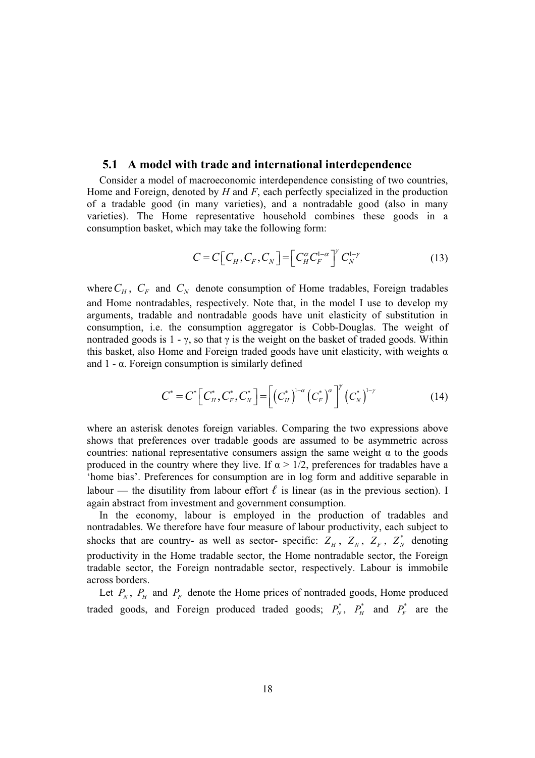#### **5.1 A model with trade and international interdependence**

Consider a model of macroeconomic interdependence consisting of two countries, Home and Foreign, denoted by *H* and *F*, each perfectly specialized in the production of a tradable good (in many varieties), and a nontradable good (also in many varieties). The Home representative household combines these goods in a consumption basket, which may take the following form:

$$
C = C \big[ C_H, C_F, C_N \big] = \big[ C_H^{\alpha} C_F^{1-\alpha} \big]^\gamma C_N^{1-\gamma} \tag{13}
$$

where  $C_H$ ,  $C_F$  and  $C_N$  denote consumption of Home tradables, Foreign tradables and Home nontradables, respectively. Note that, in the model I use to develop my arguments, tradable and nontradable goods have unit elasticity of substitution in consumption, i.e. the consumption aggregator is Cobb-Douglas. The weight of nontraded goods is  $1 - \gamma$ , so that  $\gamma$  is the weight on the basket of traded goods. Within this basket, also Home and Foreign traded goods have unit elasticity, with weights  $\alpha$ and  $1 - \alpha$ . Foreign consumption is similarly defined

$$
C^* = C^* \Big[ C_H^*, C_F^*, C_N^* \Big] = \Big[ \big( C_H^* \big)^{1-\alpha} \big( C_F^* \big)^{\alpha} \Big]^\gamma \big( C_N^* \big)^{1-\gamma} \tag{14}
$$

where an asterisk denotes foreign variables. Comparing the two expressions above shows that preferences over tradable goods are assumed to be asymmetric across countries: national representative consumers assign the same weight  $\alpha$  to the goods produced in the country where they live. If  $\alpha > 1/2$ , preferences for tradables have a 'home bias'. Preferences for consumption are in log form and additive separable in labour — the disutility from labour effort  $\ell$  is linear (as in the previous section). I again abstract from investment and government consumption.

In the economy, labour is employed in the production of tradables and nontradables. We therefore have four measure of labour productivity, each subject to shocks that are country- as well as sector- specific:  $Z_H$ ,  $Z_N$ ,  $Z_F$ ,  $Z_N^*$  denoting productivity in the Home tradable sector, the Home nontradable sector, the Foreign tradable sector, the Foreign nontradable sector, respectively. Labour is immobile across borders.

Let  $P_N$ ,  $P_H$  and  $P_F$  denote the Home prices of nontraded goods, Home produced traded goods, and Foreign produced traded goods;  $P_N^*$ ,  $P_H^*$  and  $P_F^*$  are the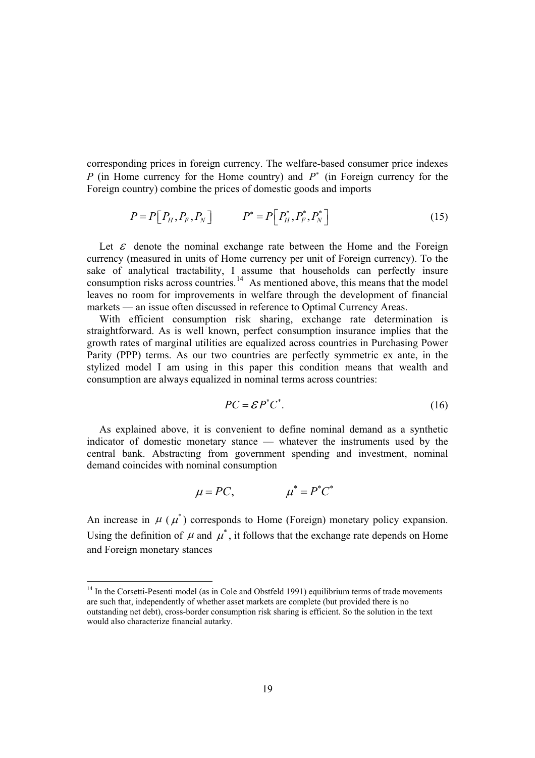corresponding prices in foreign currency. The welfare-based consumer price indexes *P* (in Home currency for the Home country) and *P*<sup>\*</sup> (in Foreign currency for the Foreign country) combine the prices of domestic goods and imports

$$
P = P\left[P_H, P_F, P_N\right] \qquad P^* = P\left[P_H^*, P_F^*, P_N^*\right] \tag{15}
$$

Let  $\varepsilon$  denote the nominal exchange rate between the Home and the Foreign currency (measured in units of Home currency per unit of Foreign currency). To the sake of analytical tractability, I assume that households can perfectly insure consumption risks across countries.<sup>14</sup> As mentioned above, this means that the model leaves no room for improvements in welfare through the development of financial markets — an issue often discussed in reference to Optimal Currency Areas.

With efficient consumption risk sharing, exchange rate determination is straightforward. As is well known, perfect consumption insurance implies that the growth rates of marginal utilities are equalized across countries in Purchasing Power Parity (PPP) terms. As our two countries are perfectly symmetric ex ante, in the stylized model I am using in this paper this condition means that wealth and consumption are always equalized in nominal terms across countries:

$$
PC = \mathcal{E}P^*C^*.\tag{16}
$$

As explained above, it is convenient to define nominal demand as a synthetic indicator of domestic monetary stance — whatever the instruments used by the central bank. Abstracting from government spending and investment, nominal demand coincides with nominal consumption

$$
\mu = PC, \qquad \mu^* = P^*C^*
$$

An increase in  $\mu$  ( $\mu^*$ ) corresponds to Home (Foreign) monetary policy expansion. Using the definition of  $\mu$  and  $\mu^*$ , it follows that the exchange rate depends on Home and Foreign monetary stances

<sup>&</sup>lt;sup>14</sup> In the Corsetti-Pesenti model (as in Cole and Obstfeld 1991) equilibrium terms of trade movements are such that, independently of whether asset markets are complete (but provided there is no outstanding net debt), cross-border consumption risk sharing is efficient. So the solution in the text would also characterize financial autarky.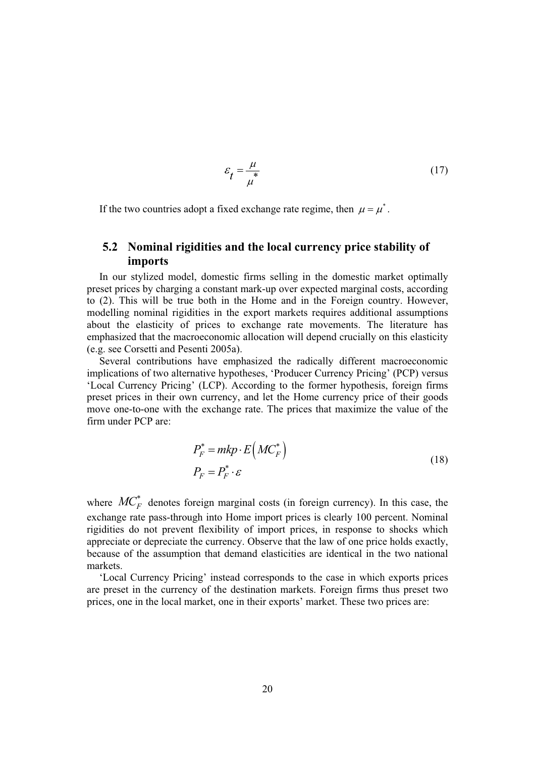$$
\varepsilon_t = \frac{\mu}{\mu} \tag{17}
$$

If the two countries adopt a fixed exchange rate regime, then  $\mu = \mu^*$ .

## **5.2 Nominal rigidities and the local currency price stability of imports**

In our stylized model, domestic firms selling in the domestic market optimally preset prices by charging a constant mark-up over expected marginal costs, according to (2). This will be true both in the Home and in the Foreign country. However, modelling nominal rigidities in the export markets requires additional assumptions about the elasticity of prices to exchange rate movements. The literature has emphasized that the macroeconomic allocation will depend crucially on this elasticity (e.g. see Corsetti and Pesenti 2005a).

Several contributions have emphasized the radically different macroeconomic implications of two alternative hypotheses, 'Producer Currency Pricing' (PCP) versus 'Local Currency Pricing' (LCP). According to the former hypothesis, foreign firms preset prices in their own currency, and let the Home currency price of their goods move one-to-one with the exchange rate. The prices that maximize the value of the firm under PCP are:

$$
P_F^* = mkp \cdot E\left(MC_F^*\right)
$$
  
\n
$$
P_F = P_F^* \cdot \varepsilon
$$
\n(18)

where  $MC^*$  denotes foreign marginal costs (in foreign currency). In this case, the exchange rate pass-through into Home import prices is clearly 100 percent. Nominal rigidities do not prevent flexibility of import prices, in response to shocks which appreciate or depreciate the currency. Observe that the law of one price holds exactly, because of the assumption that demand elasticities are identical in the two national markets.

'Local Currency Pricing' instead corresponds to the case in which exports prices are preset in the currency of the destination markets. Foreign firms thus preset two prices, one in the local market, one in their exports' market. These two prices are: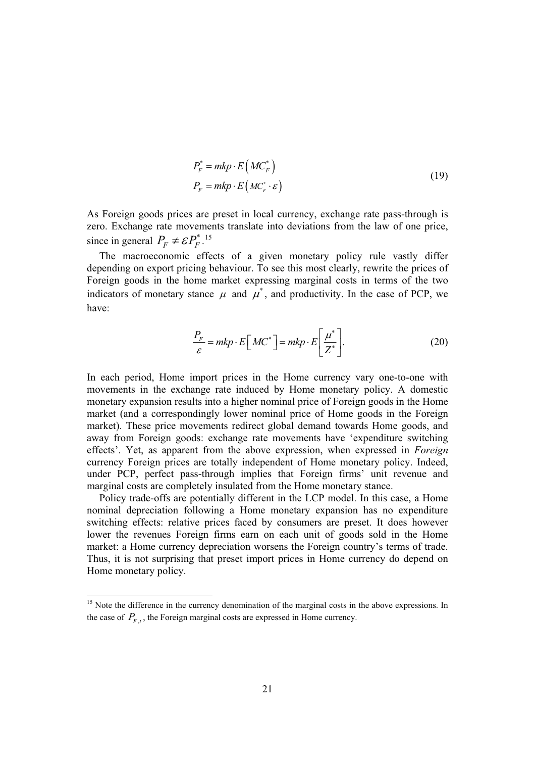$$
P_F^* = mkp \cdot E\left(MC_F^*\right)
$$
  
\n
$$
P_F = mkp \cdot E\left(MC_F^*\cdot \varepsilon\right)
$$
\n(19)

As Foreign goods prices are preset in local currency, exchange rate pass-through is zero. Exchange rate movements translate into deviations from the law of one price, since in general  $P_F \neq \mathcal{E}P_F^{*}$ .<sup>15</sup>

The macroeconomic effects of a given monetary policy rule vastly differ depending on export pricing behaviour. To see this most clearly, rewrite the prices of Foreign goods in the home market expressing marginal costs in terms of the two indicators of monetary stance  $\mu$  and  $\mu^*$ , and productivity. In the case of PCP, we have:

$$
\frac{P_F}{\varepsilon} = mkp \cdot E\left[MC^*\right] = mkp \cdot E\left[\frac{\mu^*}{Z^*}\right].\tag{20}
$$

In each period, Home import prices in the Home currency vary one-to-one with movements in the exchange rate induced by Home monetary policy. A domestic monetary expansion results into a higher nominal price of Foreign goods in the Home market (and a correspondingly lower nominal price of Home goods in the Foreign market). These price movements redirect global demand towards Home goods, and away from Foreign goods: exchange rate movements have 'expenditure switching effects'. Yet, as apparent from the above expression, when expressed in *Foreign* currency Foreign prices are totally independent of Home monetary policy. Indeed, under PCP, perfect pass-through implies that Foreign firms' unit revenue and marginal costs are completely insulated from the Home monetary stance.

Policy trade-offs are potentially different in the LCP model. In this case, a Home nominal depreciation following a Home monetary expansion has no expenditure switching effects: relative prices faced by consumers are preset. It does however lower the revenues Foreign firms earn on each unit of goods sold in the Home market: a Home currency depreciation worsens the Foreign country's terms of trade. Thus, it is not surprising that preset import prices in Home currency do depend on Home monetary policy.

<sup>&</sup>lt;sup>15</sup> Note the difference in the currency denomination of the marginal costs in the above expressions. In the case of  $P_{F,t}$ , the Foreign marginal costs are expressed in Home currency.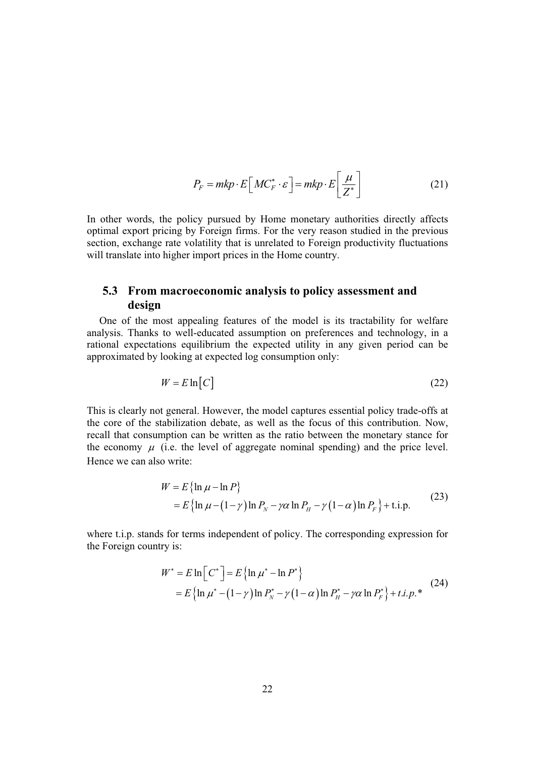$$
P_F = mkp \cdot E\left[MC_F^* \cdot \varepsilon\right] = mkp \cdot E\left[\frac{\mu}{Z^*}\right]
$$
 (21)

In other words, the policy pursued by Home monetary authorities directly affects optimal export pricing by Foreign firms. For the very reason studied in the previous section, exchange rate volatility that is unrelated to Foreign productivity fluctuations will translate into higher import prices in the Home country.

## **5.3 From macroeconomic analysis to policy assessment and design**

One of the most appealing features of the model is its tractability for welfare analysis. Thanks to well-educated assumption on preferences and technology, in a rational expectations equilibrium the expected utility in any given period can be approximated by looking at expected log consumption only:

$$
W = E \ln[C] \tag{22}
$$

This is clearly not general. However, the model captures essential policy trade-offs at the core of the stabilization debate, as well as the focus of this contribution. Now, recall that consumption can be written as the ratio between the monetary stance for the economy  $\mu$  (i.e. the level of aggregate nominal spending) and the price level. Hence we can also write:

$$
W = E \{ \ln \mu - \ln P \}
$$
  
=  $E \{ \ln \mu - (1 - \gamma) \ln P_N - \gamma \alpha \ln P_H - \gamma (1 - \alpha) \ln P_F \} + \text{t.i.p.}$  (23)

where t.i.p. stands for terms independent of policy. The corresponding expression for the Foreign country is:

$$
W^* = E \ln \left[ C^* \right] = E \{ \ln \mu^* - \ln P^* \}
$$
  
=  $E \{ \ln \mu^* - (1 - \gamma) \ln P_N^* - \gamma (1 - \alpha) \ln P_H^* - \gamma \alpha \ln P_F^* \} + t.i.p.*$  (24)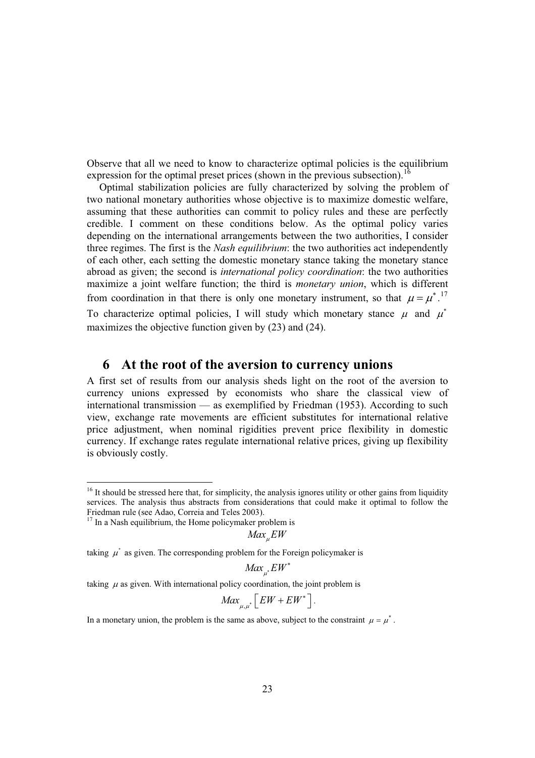Observe that all we need to know to characterize optimal policies is the equilibrium expression for the optimal preset prices (shown in the previous subsection).<sup>16</sup>

Optimal stabilization policies are fully characterized by solving the problem of two national monetary authorities whose objective is to maximize domestic welfare, assuming that these authorities can commit to policy rules and these are perfectly credible. I comment on these conditions below. As the optimal policy varies depending on the international arrangements between the two authorities, I consider three regimes. The first is the *Nash equilibrium*: the two authorities act independently of each other, each setting the domestic monetary stance taking the monetary stance abroad as given; the second is *international policy coordination*: the two authorities maximize a joint welfare function; the third is *monetary union*, which is different from coordination in that there is only one monetary instrument, so that  $\mu = \mu^*$ .<sup>17</sup> To characterize optimal policies, I will study which monetary stance  $\mu$  and  $\mu^*$ maximizes the objective function given by (23) and (24).

## **6 At the root of the aversion to currency unions**

A first set of results from our analysis sheds light on the root of the aversion to currency unions expressed by economists who share the classical view of international transmission — as exemplified by Friedman (1953). According to such view, exchange rate movements are efficient substitutes for international relative price adjustment, when nominal rigidities prevent price flexibility in domestic currency. If exchange rates regulate international relative prices, giving up flexibility is obviously costly.

 $Max$ <sub>*EW*</sub>

taking  $\mu^*$  as given. The corresponding problem for the Foreign policymaker is

 $M$ a $x_{\mu^*}$  $EW$ 

\*

taking  $\mu$  as given. With international policy coordination, the joint problem is

$$
Max_{\mu,\mu^*}\left[EW + EW^*\right].
$$

In a monetary union, the problem is the same as above, subject to the constraint  $\mu = \mu^*$ .

<sup>&</sup>lt;sup>16</sup> It should be stressed here that, for simplicity, the analysis ignores utility or other gains from liquidity services. The analysis thus abstracts from considerations that could make it optimal to follow the Friedman rule (see Adao, Correia and Teles 2003).

 $17$  In a Nash equilibrium, the Home policymaker problem is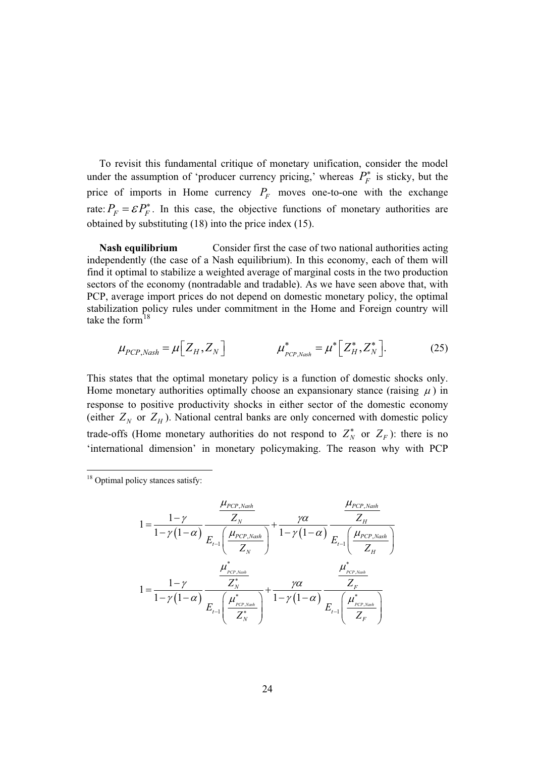To revisit this fundamental critique of monetary unification, consider the model under the assumption of 'producer currency pricing,' whereas  $P_F^*$  is sticky, but the price of imports in Home currency  $P_F$  moves one-to-one with the exchange rate:  $P_F = \mathcal{E}P_F^*$ . In this case, the objective functions of monetary authorities are obtained by substituting (18) into the price index (15).

**Nash equilibrium** Consider first the case of two national authorities acting independently (the case of a Nash equilibrium). In this economy, each of them will find it optimal to stabilize a weighted average of marginal costs in the two production sectors of the economy (nontradable and tradable). As we have seen above that, with PCP, average import prices do not depend on domestic monetary policy, the optimal stabilization policy rules under commitment in the Home and Foreign country will take the form $^{18}$ 

$$
\mu_{PCP,Nash} = \mu \Big[ Z_H, Z_N \Big] \qquad \qquad \mu_{PCP,Nash}^* = \mu^* \Big[ Z_H^*, Z_N^* \Big]. \tag{25}
$$

This states that the optimal monetary policy is a function of domestic shocks only. Home monetary authorities optimally choose an expansionary stance (raising  $\mu$ ) in response to positive productivity shocks in either sector of the domestic economy (either  $Z_N$  or  $Z_H$ ). National central banks are only concerned with domestic policy trade-offs (Home monetary authorities do not respond to  $Z_N^*$  or  $Z_F$ ): there is no 'international dimension' in monetary policymaking. The reason why with PCP

$$
1 = \frac{1 - \gamma}{1 - \gamma(1 - \alpha)} \frac{Z_N}{E_{t-1} \left(\frac{\mu_{PCP, Nash}}{Z_N}\right)} + \frac{\gamma \alpha}{1 - \gamma(1 - \alpha)} \frac{Z_H}{E_{t-1} \left(\frac{\mu_{PCP, Nash}}{Z_H}\right)}
$$
  

$$
1 = \frac{1 - \gamma}{1 - \gamma(1 - \alpha)} \frac{Z_N^*}{E_{t-1} \left(\frac{\mu_{PCP, Nash}}{Z_N}\right)} + \frac{\gamma \alpha}{1 - \gamma(1 - \alpha)} \frac{Z_{PCP, Nash}}{Z_F}
$$
  

$$
E_{t-1} \left(\frac{\mu_{PCP, Nash}}{Z_N^*}\right) + \frac{\gamma \alpha}{1 - \gamma(1 - \alpha)} \frac{Z_{PCP, Nash}}{E_{t-1} \left(\frac{\mu_{PCP, Nash}}{Z_F}\right)}
$$

<sup>&</sup>lt;sup>18</sup> Optimal policy stances satisfy: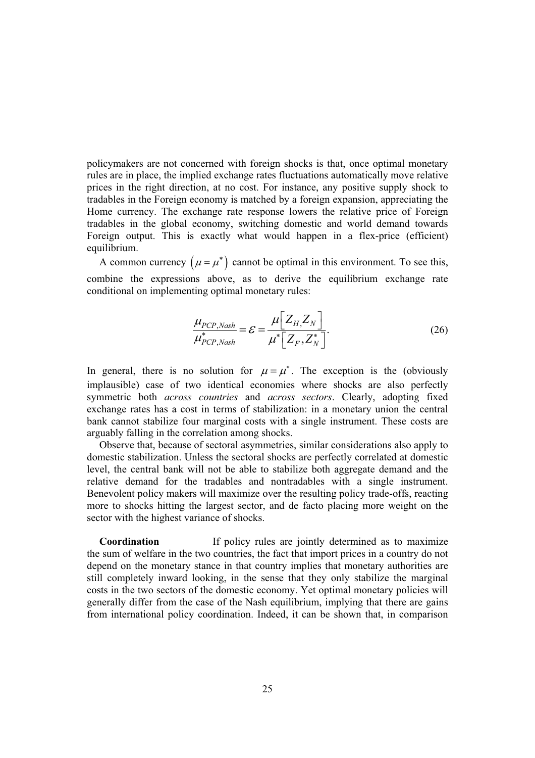policymakers are not concerned with foreign shocks is that, once optimal monetary rules are in place, the implied exchange rates fluctuations automatically move relative prices in the right direction, at no cost. For instance, any positive supply shock to tradables in the Foreign economy is matched by a foreign expansion, appreciating the Home currency. The exchange rate response lowers the relative price of Foreign tradables in the global economy, switching domestic and world demand towards Foreign output. This is exactly what would happen in a flex-price (efficient) equilibrium.

A common currency  $(\mu = \mu^*)$  cannot be optimal in this environment. To see this, combine the expressions above, as to derive the equilibrium exchange rate conditional on implementing optimal monetary rules:

$$
\frac{\mu_{PCP, Nash}}{\mu_{PCP, Nash}^*} = \mathcal{E} = \frac{\mu \left[ Z_H, Z_N \right]}{\mu^* \left[ Z_F, Z_N^* \right]}.
$$
\n(26)

In general, there is no solution for  $\mu = \mu^*$ . The exception is the (obviously implausible) case of two identical economies where shocks are also perfectly symmetric both *across countries* and *across sectors*. Clearly, adopting fixed exchange rates has a cost in terms of stabilization: in a monetary union the central bank cannot stabilize four marginal costs with a single instrument. These costs are arguably falling in the correlation among shocks.

Observe that, because of sectoral asymmetries, similar considerations also apply to domestic stabilization. Unless the sectoral shocks are perfectly correlated at domestic level, the central bank will not be able to stabilize both aggregate demand and the relative demand for the tradables and nontradables with a single instrument. Benevolent policy makers will maximize over the resulting policy trade-offs, reacting more to shocks hitting the largest sector, and de facto placing more weight on the sector with the highest variance of shocks.

**Coordination** If policy rules are jointly determined as to maximize the sum of welfare in the two countries, the fact that import prices in a country do not depend on the monetary stance in that country implies that monetary authorities are still completely inward looking, in the sense that they only stabilize the marginal costs in the two sectors of the domestic economy. Yet optimal monetary policies will generally differ from the case of the Nash equilibrium, implying that there are gains from international policy coordination. Indeed, it can be shown that, in comparison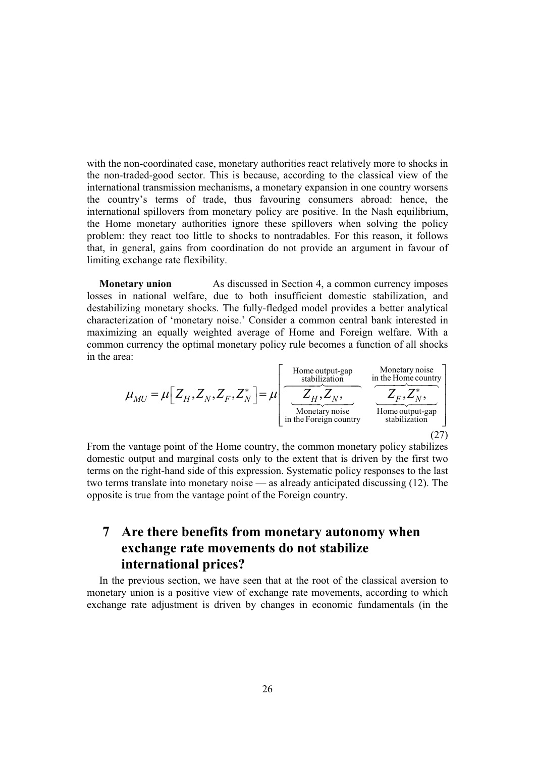with the non-coordinated case, monetary authorities react relatively more to shocks in the non-traded-good sector. This is because, according to the classical view of the international transmission mechanisms, a monetary expansion in one country worsens the country's terms of trade, thus favouring consumers abroad: hence, the international spillovers from monetary policy are positive. In the Nash equilibrium, the Home monetary authorities ignore these spillovers when solving the policy problem: they react too little to shocks to nontradables. For this reason, it follows that, in general, gains from coordination do not provide an argument in favour of limiting exchange rate flexibility.

**Monetary union** As discussed in Section 4, a common currency imposes losses in national welfare, due to both insufficient domestic stabilization, and destabilizing monetary shocks. The fully-fledged model provides a better analytical characterization of 'monetary noise.' Consider a common central bank interested in maximizing an equally weighted average of Home and Foreign welfare. With a common currency the optimal monetary policy rule becomes a function of all shocks in the area:

$$
\mu_{MU} = \mu \left[ Z_H, Z_N, Z_F, Z_N^* \right] = \mu \left[ \underbrace{\frac{\text{Home output-gap}}{Z_H, Z_N, \text{nonetary noise}}}_{\text{Monetary noise}} \underbrace{\frac{\text{Monetary noise}}{\frac{\text{m the Home country}}{\text{Home country}}}}_{\text{stabilization}} \right]
$$
\n(27)

From the vantage point of the Home country, the common monetary policy stabilizes domestic output and marginal costs only to the extent that is driven by the first two terms on the right-hand side of this expression. Systematic policy responses to the last two terms translate into monetary noise — as already anticipated discussing (12). The opposite is true from the vantage point of the Foreign country.

## **7 Are there benefits from monetary autonomy when exchange rate movements do not stabilize international prices?**

In the previous section, we have seen that at the root of the classical aversion to monetary union is a positive view of exchange rate movements, according to which exchange rate adjustment is driven by changes in economic fundamentals (in the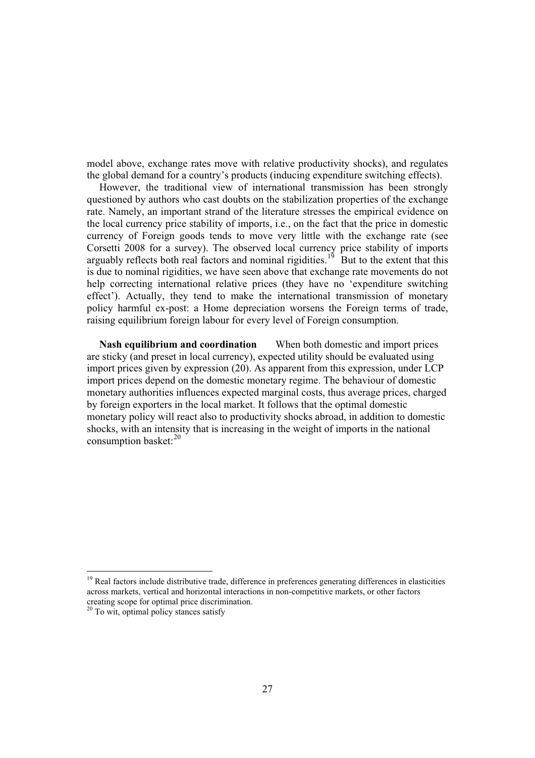model above, exchange rates move with relative productivity shocks), and regulates the global demand for a country's products (inducing expenditure switching effects).

However, the traditional view of international transmission has been strongly questioned by authors who cast doubts on the stabilization properties of the exchange rate. Namely, an important strand of the literature stresses the empirical evidence on the local currency price stability of imports, i.e., on the fact that the price in domestic currency of Foreign goods tends to move very little with the exchange rate (see Corsetti 2008 for a survey). The observed local currency price stability of imports arguably reflects both real factors and nominal rigidities.<sup>19</sup> But to the extent that this is due to nominal rigidities, we have seen above that exchange rate movements do not help correcting international relative prices (they have no 'expenditure switching effect'). Actually, they tend to make the international transmission of monetary policy harmful ex-post: a Home depreciation worsens the Foreign terms of trade, raising equilibrium foreign labour for every level of Foreign consumption.

**Nash equilibrium and coordination** When both domestic and import prices are sticky (and preset in local currency), expected utility should be evaluated using import prices given by expression (20). As apparent from this expression, under LCP import prices depend on the domestic monetary regime. The behaviour of domestic monetary authorities influences expected marginal costs, thus average prices, charged by foreign exporters in the local market. It follows that the optimal domestic monetary policy will react also to productivity shocks abroad, in addition to domestic shocks, with an intensity that is increasing in the weight of imports in the national consumption basket: $^{20}$ 

<sup>&</sup>lt;sup>19</sup> Real factors include distributive trade, difference in preferences generating differences in elasticities across markets, vertical and horizontal interactions in non-competitive markets, or other factors creating scope for optimal price discrimination.<br><sup>20</sup> To wit, optimal policy stances satisfy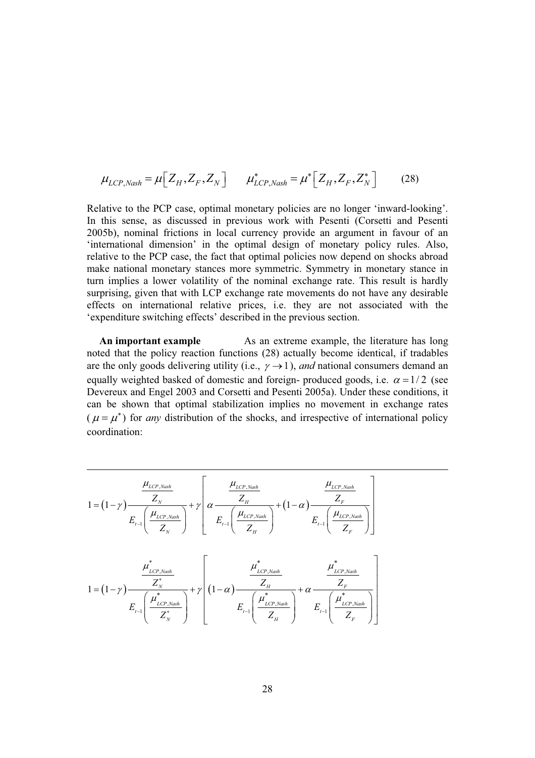$$
\mu_{LCP, Nash} = \mu \left[ Z_H, Z_F, Z_N \right] \qquad \mu_{LCP, Nash}^* = \mu^* \left[ Z_H, Z_F, Z_N^* \right] \tag{28}
$$

Relative to the PCP case, optimal monetary policies are no longer 'inward-looking'. In this sense, as discussed in previous work with Pesenti (Corsetti and Pesenti 2005b), nominal frictions in local currency provide an argument in favour of an 'international dimension' in the optimal design of monetary policy rules. Also, relative to the PCP case, the fact that optimal policies now depend on shocks abroad make national monetary stances more symmetric. Symmetry in monetary stance in turn implies a lower volatility of the nominal exchange rate. This result is hardly surprising, given that with LCP exchange rate movements do not have any desirable effects on international relative prices, i.e. they are not associated with the 'expenditure switching effects' described in the previous section.

**An important example** As an extreme example, the literature has long noted that the policy reaction functions (28) actually become identical, if tradables are the only goods delivering utility (i.e.,  $\gamma \rightarrow 1$ ), *and* national consumers demand an equally weighted basked of domestic and foreign- produced goods, i.e.  $\alpha = 1/2$  (see Devereux and Engel 2003 and Corsetti and Pesenti 2005a). Under these conditions, it can be shown that optimal stabilization implies no movement in exchange rates  $(\mu = \mu^*)$  for *any* distribution of the shocks, and irrespective of international policy coordination:

$$
1 = (1 - \gamma) \frac{\mu_{LCP, Nash}}{Z_N} + \gamma \left[ \alpha \frac{\mu_{LCP, Nash}}{Z_N} + (1 - \alpha) \frac{\mu_{LCP, Nash}}{Z_F} \right]
$$
  

$$
1 = (1 - \gamma) \frac{\mu_{LCP, Nash}}{Z_N} + \gamma \left[ \alpha \frac{\mu_{LCP, Nash}}{Z_N} + (1 - \alpha) \frac{\mu_{LCP, Nash}}{Z_F} \right]
$$
  

$$
1 = (1 - \gamma) \frac{\mu_{LCP, Nash}^*}{Z_N} + \gamma \left[ (1 - \alpha) \frac{\mu_{LCP, Nash}^*}{Z_N} + \alpha \frac{\mu_{LCP, Nash}^*}{Z_F} \right]
$$
  

$$
E_{t-1} \left( \frac{\mu_{LCP, Nash}^*}{Z_N} \right) + \gamma \left[ (1 - \alpha) \frac{\mu_{LCP, Nash}^*}{Z_H} + \alpha \frac{\mu_{LCP, Nash}^*}{Z_F} \right]
$$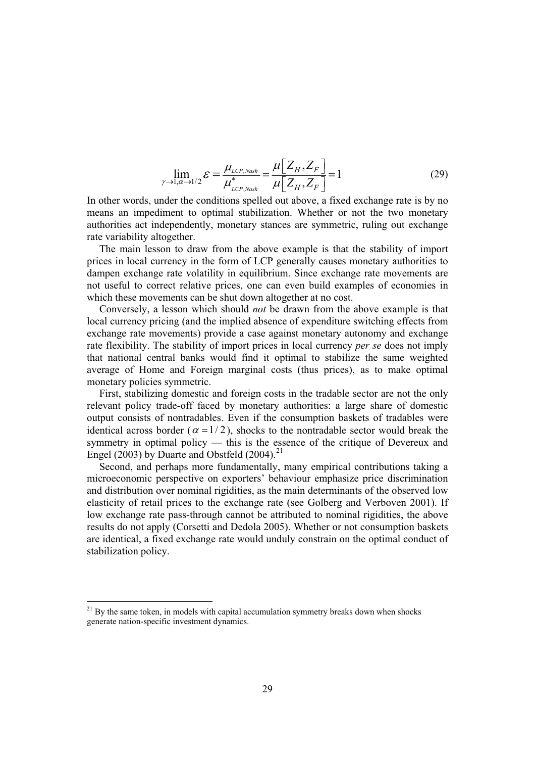$$
\lim_{\gamma \to 1, \alpha \to 1/2} \mathcal{E} = \frac{\mu_{LCP, Nash}}{\mu_{LCP, Nash}^*} = \frac{\mu \left[ Z_H, Z_F \right]}{\mu \left[ Z_H, Z_F \right]} = 1 \tag{29}
$$

In other words, under the conditions spelled out above, a fixed exchange rate is by no means an impediment to optimal stabilization. Whether or not the two monetary authorities act independently, monetary stances are symmetric, ruling out exchange rate variability altogether.

The main lesson to draw from the above example is that the stability of import prices in local currency in the form of LCP generally causes monetary authorities to dampen exchange rate volatility in equilibrium. Since exchange rate movements are not useful to correct relative prices, one can even build examples of economies in which these movements can be shut down altogether at no cost.

Conversely, a lesson which should *not* be drawn from the above example is that local currency pricing (and the implied absence of expenditure switching effects from exchange rate movements) provide a case against monetary autonomy and exchange rate flexibility. The stability of import prices in local currency *per se* does not imply that national central banks would find it optimal to stabilize the same weighted average of Home and Foreign marginal costs (thus prices), as to make optimal monetary policies symmetric.

First, stabilizing domestic and foreign costs in the tradable sector are not the only relevant policy trade-off faced by monetary authorities: a large share of domestic output consists of nontradables. Even if the consumption baskets of tradables were identical across border ( $\alpha = 1/2$ ), shocks to the nontradable sector would break the symmetry in optimal policy — this is the essence of the critique of Devereux and Engel (2003) by Duarte and Obstfeld (2004). $^{21}$ 

Second, and perhaps more fundamentally, many empirical contributions taking a microeconomic perspective on exporters' behaviour emphasize price discrimination and distribution over nominal rigidities, as the main determinants of the observed low elasticity of retail prices to the exchange rate (see Golberg and Verboven 2001). If low exchange rate pass-through cannot be attributed to nominal rigidities, the above results do not apply (Corsetti and Dedola 2005). Whether or not consumption baskets are identical, a fixed exchange rate would unduly constrain on the optimal conduct of stabilization policy.

 $21$  By the same token, in models with capital accumulation symmetry breaks down when shocks generate nation-specific investment dynamics.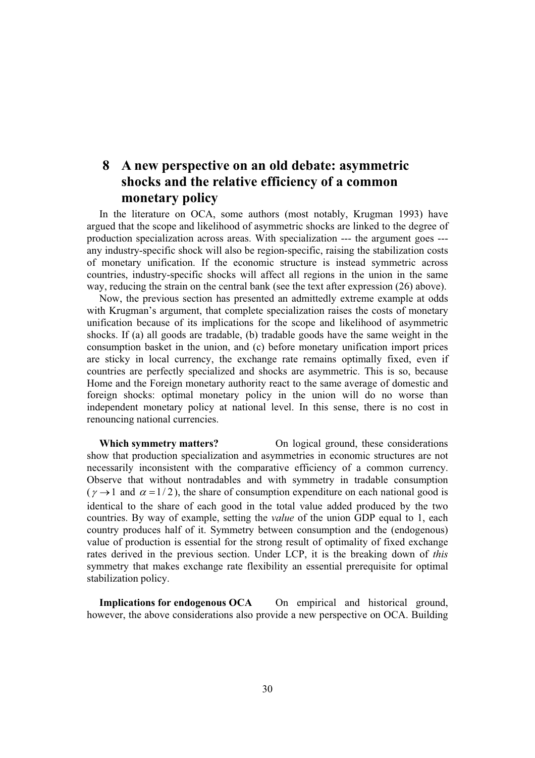## **8 A new perspective on an old debate: asymmetric shocks and the relative efficiency of a common monetary policy**

In the literature on OCA, some authors (most notably, Krugman 1993) have argued that the scope and likelihood of asymmetric shocks are linked to the degree of production specialization across areas. With specialization --- the argument goes -- any industry-specific shock will also be region-specific, raising the stabilization costs of monetary unification. If the economic structure is instead symmetric across countries, industry-specific shocks will affect all regions in the union in the same way, reducing the strain on the central bank (see the text after expression (26) above).

Now, the previous section has presented an admittedly extreme example at odds with Krugman's argument, that complete specialization raises the costs of monetary unification because of its implications for the scope and likelihood of asymmetric shocks. If (a) all goods are tradable, (b) tradable goods have the same weight in the consumption basket in the union, and (c) before monetary unification import prices are sticky in local currency, the exchange rate remains optimally fixed, even if countries are perfectly specialized and shocks are asymmetric. This is so, because Home and the Foreign monetary authority react to the same average of domestic and foreign shocks: optimal monetary policy in the union will do no worse than independent monetary policy at national level. In this sense, there is no cost in renouncing national currencies.

**Which symmetry matters?** On logical ground, these considerations show that production specialization and asymmetries in economic structures are not necessarily inconsistent with the comparative efficiency of a common currency. Observe that without nontradables and with symmetry in tradable consumption  $(\gamma \rightarrow 1$  and  $\alpha = 1/2)$ , the share of consumption expenditure on each national good is identical to the share of each good in the total value added produced by the two countries. By way of example, setting the *value* of the union GDP equal to 1, each country produces half of it. Symmetry between consumption and the (endogenous) value of production is essential for the strong result of optimality of fixed exchange rates derived in the previous section. Under LCP, it is the breaking down of *this* symmetry that makes exchange rate flexibility an essential prerequisite for optimal stabilization policy.

**Implications for endogenous OCA** On empirical and historical ground, however, the above considerations also provide a new perspective on OCA. Building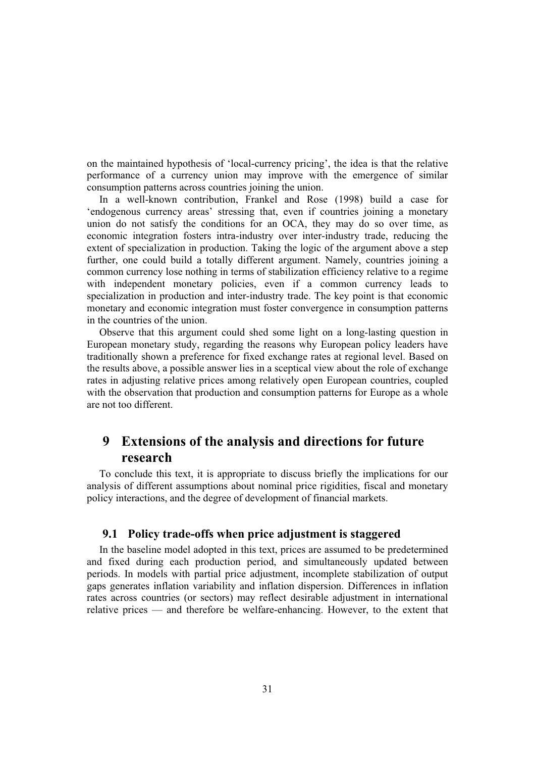on the maintained hypothesis of 'local-currency pricing', the idea is that the relative performance of a currency union may improve with the emergence of similar consumption patterns across countries joining the union.

In a well-known contribution, Frankel and Rose (1998) build a case for 'endogenous currency areas' stressing that, even if countries joining a monetary union do not satisfy the conditions for an OCA, they may do so over time, as economic integration fosters intra-industry over inter-industry trade, reducing the extent of specialization in production. Taking the logic of the argument above a step further, one could build a totally different argument. Namely, countries joining a common currency lose nothing in terms of stabilization efficiency relative to a regime with independent monetary policies, even if a common currency leads to specialization in production and inter-industry trade. The key point is that economic monetary and economic integration must foster convergence in consumption patterns in the countries of the union.

Observe that this argument could shed some light on a long-lasting question in European monetary study, regarding the reasons why European policy leaders have traditionally shown a preference for fixed exchange rates at regional level. Based on the results above, a possible answer lies in a sceptical view about the role of exchange rates in adjusting relative prices among relatively open European countries, coupled with the observation that production and consumption patterns for Europe as a whole are not too different.

## **9 Extensions of the analysis and directions for future research**

To conclude this text, it is appropriate to discuss briefly the implications for our analysis of different assumptions about nominal price rigidities, fiscal and monetary policy interactions, and the degree of development of financial markets.

#### **9.1 Policy trade-offs when price adjustment is staggered**

In the baseline model adopted in this text, prices are assumed to be predetermined and fixed during each production period, and simultaneously updated between periods. In models with partial price adjustment, incomplete stabilization of output gaps generates inflation variability and inflation dispersion. Differences in inflation rates across countries (or sectors) may reflect desirable adjustment in international relative prices — and therefore be welfare-enhancing. However, to the extent that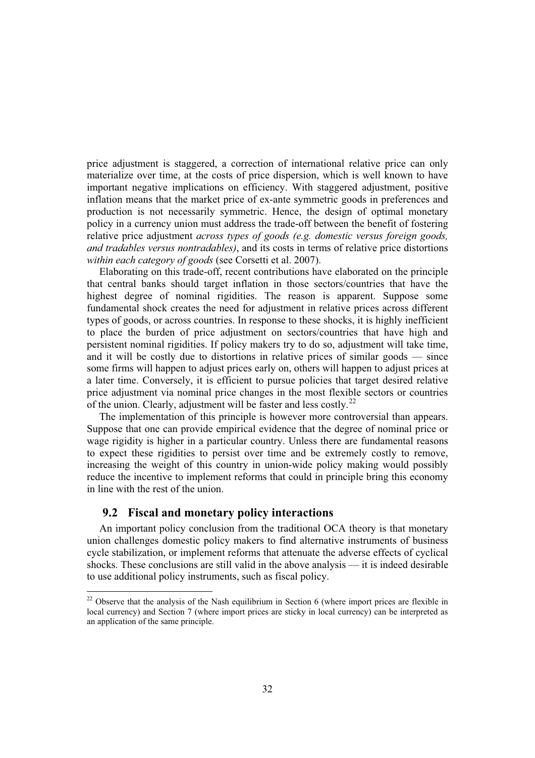price adjustment is staggered, a correction of international relative price can only materialize over time, at the costs of price dispersion, which is well known to have important negative implications on efficiency. With staggered adjustment, positive inflation means that the market price of ex-ante symmetric goods in preferences and production is not necessarily symmetric. Hence, the design of optimal monetary policy in a currency union must address the trade-off between the benefit of fostering relative price adjustment *across types of goods (e.g. domestic versus foreign goods, and tradables versus nontradables)*, and its costs in terms of relative price distortions *within each category of goods* (see Corsetti et al. 2007).

Elaborating on this trade-off, recent contributions have elaborated on the principle that central banks should target inflation in those sectors/countries that have the highest degree of nominal rigidities. The reason is apparent. Suppose some fundamental shock creates the need for adjustment in relative prices across different types of goods, or across countries. In response to these shocks, it is highly inefficient to place the burden of price adjustment on sectors/countries that have high and persistent nominal rigidities. If policy makers try to do so, adjustment will take time, and it will be costly due to distortions in relative prices of similar goods — since some firms will happen to adjust prices early on, others will happen to adjust prices at a later time. Conversely, it is efficient to pursue policies that target desired relative price adjustment via nominal price changes in the most flexible sectors or countries of the union. Clearly, adjustment will be faster and less costly.<sup>22</sup>

The implementation of this principle is however more controversial than appears. Suppose that one can provide empirical evidence that the degree of nominal price or wage rigidity is higher in a particular country. Unless there are fundamental reasons to expect these rigidities to persist over time and be extremely costly to remove, increasing the weight of this country in union-wide policy making would possibly reduce the incentive to implement reforms that could in principle bring this economy in line with the rest of the union.

#### **9.2 Fiscal and monetary policy interactions**

An important policy conclusion from the traditional OCA theory is that monetary union challenges domestic policy makers to find alternative instruments of business cycle stabilization, or implement reforms that attenuate the adverse effects of cyclical shocks. These conclusions are still valid in the above analysis — it is indeed desirable to use additional policy instruments, such as fiscal policy.

 $22$  Observe that the analysis of the Nash equilibrium in Section 6 (where import prices are flexible in local currency) and Section 7 (where import prices are sticky in local currency) can be interpreted as an application of the same principle.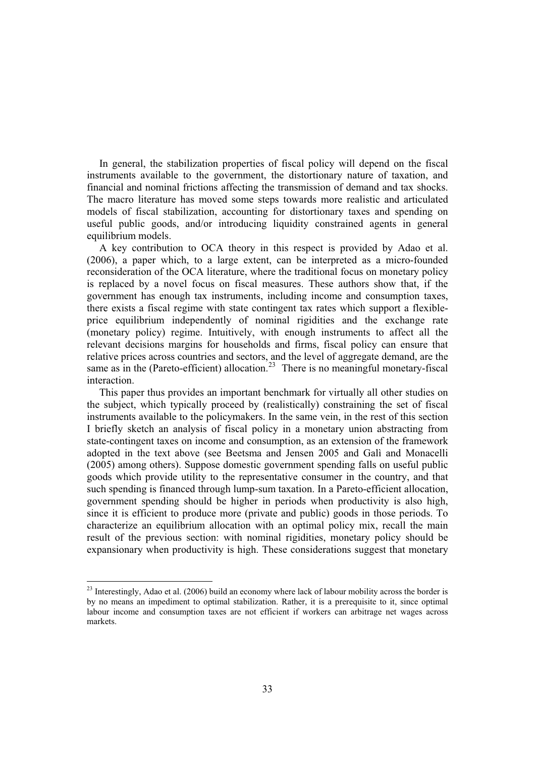In general, the stabilization properties of fiscal policy will depend on the fiscal instruments available to the government, the distortionary nature of taxation, and financial and nominal frictions affecting the transmission of demand and tax shocks. The macro literature has moved some steps towards more realistic and articulated models of fiscal stabilization, accounting for distortionary taxes and spending on useful public goods, and/or introducing liquidity constrained agents in general equilibrium models.

A key contribution to OCA theory in this respect is provided by Adao et al. (2006), a paper which, to a large extent, can be interpreted as a micro-founded reconsideration of the OCA literature, where the traditional focus on monetary policy is replaced by a novel focus on fiscal measures. These authors show that, if the government has enough tax instruments, including income and consumption taxes, there exists a fiscal regime with state contingent tax rates which support a flexibleprice equilibrium independently of nominal rigidities and the exchange rate (monetary policy) regime. Intuitively, with enough instruments to affect all the relevant decisions margins for households and firms, fiscal policy can ensure that relative prices across countries and sectors, and the level of aggregate demand, are the same as in the (Pareto-efficient) allocation.<sup>23</sup> There is no meaningful monetary-fiscal interaction.

This paper thus provides an important benchmark for virtually all other studies on the subject, which typically proceed by (realistically) constraining the set of fiscal instruments available to the policymakers. In the same vein, in the rest of this section I briefly sketch an analysis of fiscal policy in a monetary union abstracting from state-contingent taxes on income and consumption, as an extension of the framework adopted in the text above (see Beetsma and Jensen 2005 and Galì and Monacelli (2005) among others). Suppose domestic government spending falls on useful public goods which provide utility to the representative consumer in the country, and that such spending is financed through lump-sum taxation. In a Pareto-efficient allocation, government spending should be higher in periods when productivity is also high, since it is efficient to produce more (private and public) goods in those periods. To characterize an equilibrium allocation with an optimal policy mix, recall the main result of the previous section: with nominal rigidities, monetary policy should be expansionary when productivity is high. These considerations suggest that monetary

<sup>&</sup>lt;sup>23</sup> Interestingly, Adao et al. (2006) build an economy where lack of labour mobility across the border is by no means an impediment to optimal stabilization. Rather, it is a prerequisite to it, since optimal labour income and consumption taxes are not efficient if workers can arbitrage net wages across markets.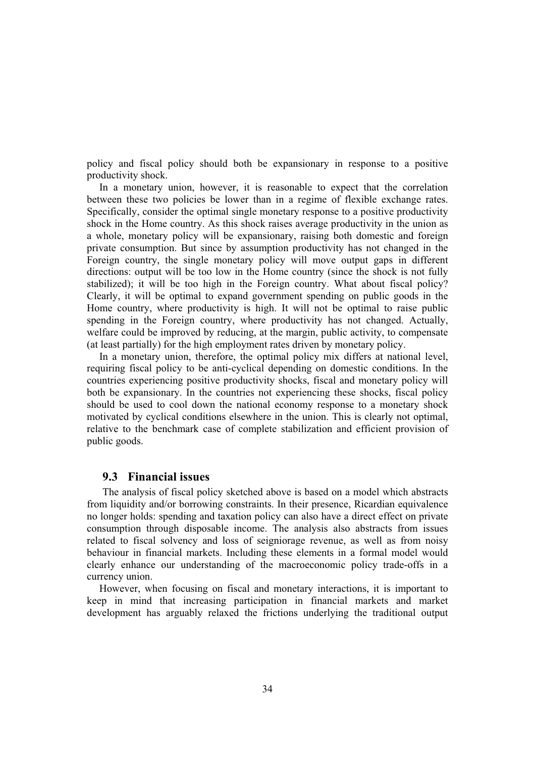policy and fiscal policy should both be expansionary in response to a positive productivity shock.

In a monetary union, however, it is reasonable to expect that the correlation between these two policies be lower than in a regime of flexible exchange rates. Specifically, consider the optimal single monetary response to a positive productivity shock in the Home country. As this shock raises average productivity in the union as a whole, monetary policy will be expansionary, raising both domestic and foreign private consumption. But since by assumption productivity has not changed in the Foreign country, the single monetary policy will move output gaps in different directions: output will be too low in the Home country (since the shock is not fully stabilized); it will be too high in the Foreign country. What about fiscal policy? Clearly, it will be optimal to expand government spending on public goods in the Home country, where productivity is high. It will not be optimal to raise public spending in the Foreign country, where productivity has not changed. Actually, welfare could be improved by reducing, at the margin, public activity, to compensate (at least partially) for the high employment rates driven by monetary policy.

In a monetary union, therefore, the optimal policy mix differs at national level, requiring fiscal policy to be anti-cyclical depending on domestic conditions. In the countries experiencing positive productivity shocks, fiscal and monetary policy will both be expansionary. In the countries not experiencing these shocks, fiscal policy should be used to cool down the national economy response to a monetary shock motivated by cyclical conditions elsewhere in the union. This is clearly not optimal, relative to the benchmark case of complete stabilization and efficient provision of public goods.

#### **9.3 Financial issues**

The analysis of fiscal policy sketched above is based on a model which abstracts from liquidity and/or borrowing constraints. In their presence, Ricardian equivalence no longer holds: spending and taxation policy can also have a direct effect on private consumption through disposable income. The analysis also abstracts from issues related to fiscal solvency and loss of seigniorage revenue, as well as from noisy behaviour in financial markets. Including these elements in a formal model would clearly enhance our understanding of the macroeconomic policy trade-offs in a currency union.

However, when focusing on fiscal and monetary interactions, it is important to keep in mind that increasing participation in financial markets and market development has arguably relaxed the frictions underlying the traditional output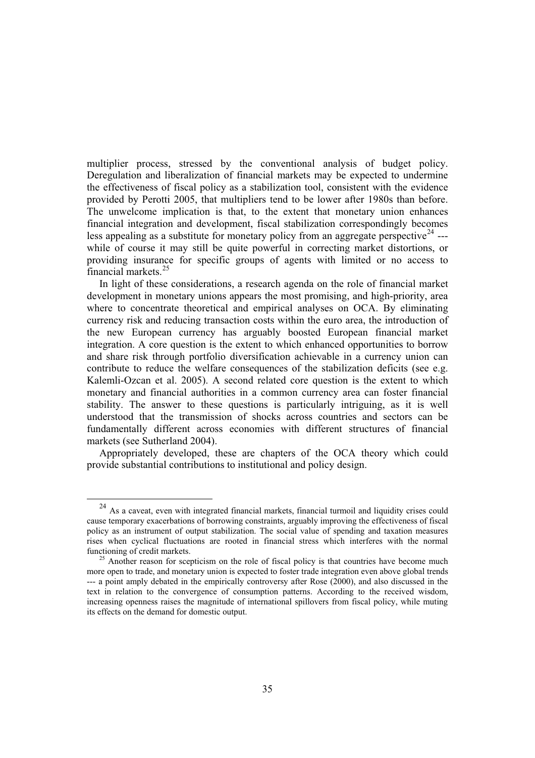multiplier process, stressed by the conventional analysis of budget policy. Deregulation and liberalization of financial markets may be expected to undermine the effectiveness of fiscal policy as a stabilization tool, consistent with the evidence provided by Perotti 2005, that multipliers tend to be lower after 1980s than before. The unwelcome implication is that, to the extent that monetary union enhances financial integration and development, fiscal stabilization correspondingly becomes less appealing as a substitute for monetary policy from an aggregate perspective<sup>24</sup> --while of course it may still be quite powerful in correcting market distortions, or providing insurance for specific groups of agents with limited or no access to financial markets.<sup>25</sup>

In light of these considerations, a research agenda on the role of financial market development in monetary unions appears the most promising, and high-priority, area where to concentrate theoretical and empirical analyses on OCA. By eliminating currency risk and reducing transaction costs within the euro area, the introduction of the new European currency has arguably boosted European financial market integration. A core question is the extent to which enhanced opportunities to borrow and share risk through portfolio diversification achievable in a currency union can contribute to reduce the welfare consequences of the stabilization deficits (see e.g. Kalemli-Ozcan et al. 2005). A second related core question is the extent to which monetary and financial authorities in a common currency area can foster financial stability. The answer to these questions is particularly intriguing, as it is well understood that the transmission of shocks across countries and sectors can be fundamentally different across economies with different structures of financial markets (see Sutherland 2004).

Appropriately developed, these are chapters of the OCA theory which could provide substantial contributions to institutional and policy design.

<sup>&</sup>lt;sup>24</sup> As a caveat, even with integrated financial markets, financial turmoil and liquidity crises could cause temporary exacerbations of borrowing constraints, arguably improving the effectiveness of fiscal policy as an instrument of output stabilization. The social value of spending and taxation measures rises when cyclical fluctuations are rooted in financial stress which interferes with the normal

<sup>&</sup>lt;sup>25</sup> Another reason for scepticism on the role of fiscal policy is that countries have become much more open to trade, and monetary union is expected to foster trade integration even above global trends --- a point amply debated in the empirically controversy after Rose (2000), and also discussed in the text in relation to the convergence of consumption patterns. According to the received wisdom, increasing openness raises the magnitude of international spillovers from fiscal policy, while muting its effects on the demand for domestic output.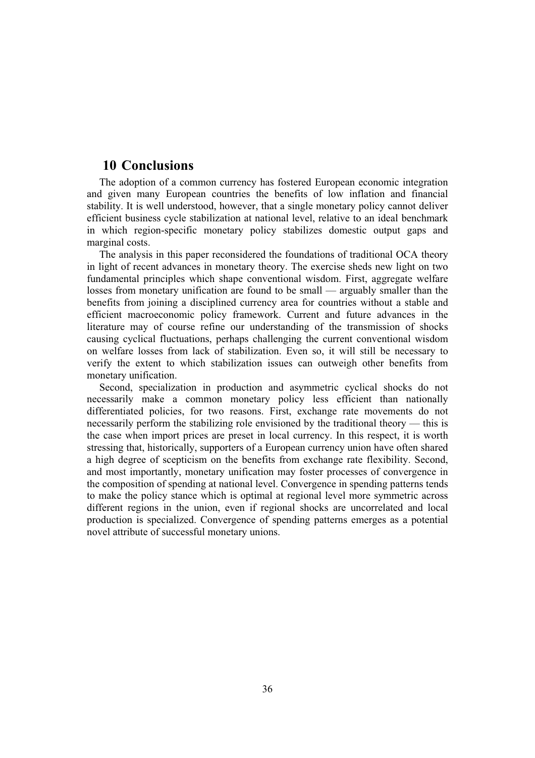## **10 Conclusions**

The adoption of a common currency has fostered European economic integration and given many European countries the benefits of low inflation and financial stability. It is well understood, however, that a single monetary policy cannot deliver efficient business cycle stabilization at national level, relative to an ideal benchmark in which region-specific monetary policy stabilizes domestic output gaps and marginal costs.

The analysis in this paper reconsidered the foundations of traditional OCA theory in light of recent advances in monetary theory. The exercise sheds new light on two fundamental principles which shape conventional wisdom. First, aggregate welfare losses from monetary unification are found to be small — arguably smaller than the benefits from joining a disciplined currency area for countries without a stable and efficient macroeconomic policy framework. Current and future advances in the literature may of course refine our understanding of the transmission of shocks causing cyclical fluctuations, perhaps challenging the current conventional wisdom on welfare losses from lack of stabilization. Even so, it will still be necessary to verify the extent to which stabilization issues can outweigh other benefits from monetary unification.

Second, specialization in production and asymmetric cyclical shocks do not necessarily make a common monetary policy less efficient than nationally differentiated policies, for two reasons. First, exchange rate movements do not necessarily perform the stabilizing role envisioned by the traditional theory — this is the case when import prices are preset in local currency. In this respect, it is worth stressing that, historically, supporters of a European currency union have often shared a high degree of scepticism on the benefits from exchange rate flexibility. Second, and most importantly, monetary unification may foster processes of convergence in the composition of spending at national level. Convergence in spending patterns tends to make the policy stance which is optimal at regional level more symmetric across different regions in the union, even if regional shocks are uncorrelated and local production is specialized. Convergence of spending patterns emerges as a potential novel attribute of successful monetary unions.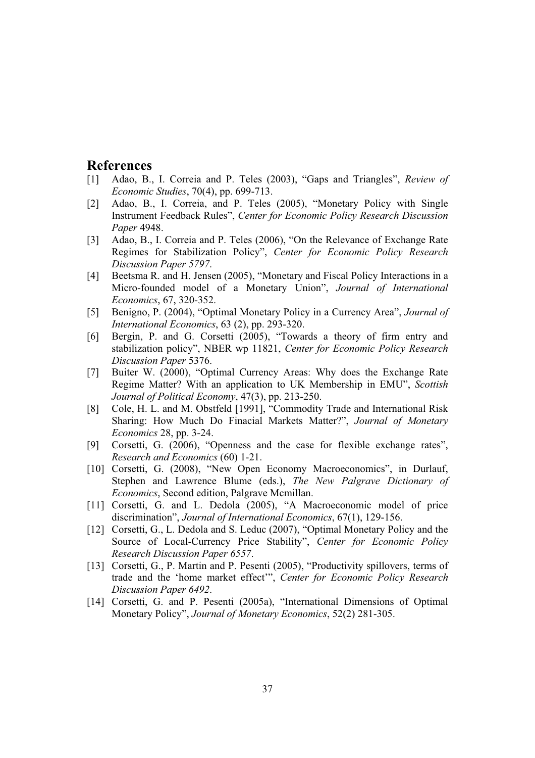### **References**

- [1] Adao, B., I. Correia and P. Teles (2003), "Gaps and Triangles", *Review of Economic Studies*, 70(4), pp. 699-713.
- [2] Adao, B., I. Correia, and P. Teles (2005), "Monetary Policy with Single Instrument Feedback Rules", *Center for Economic Policy Research Discussion Paper* 4948.
- [3] Adao, B., I. Correia and P. Teles (2006), "On the Relevance of Exchange Rate Regimes for Stabilization Policy", *Center for Economic Policy Research Discussion Paper 5797*.
- [4] Beetsma R. and H. Jensen (2005), "Monetary and Fiscal Policy Interactions in a Micro-founded model of a Monetary Union", *Journal of International Economics*, 67, 320-352.
- [5] Benigno, P. (2004), "Optimal Monetary Policy in a Currency Area", *Journal of International Economics*, 63 (2), pp. 293-320.
- [6] Bergin, P. and G. Corsetti (2005), "Towards a theory of firm entry and stabilization policy", NBER wp 11821, *Center for Economic Policy Research Discussion Paper* 5376.
- [7] Buiter W. (2000), "Optimal Currency Areas: Why does the Exchange Rate Regime Matter? With an application to UK Membership in EMU", *Scottish Journal of Political Economy*, 47(3), pp. 213-250.
- [8] Cole, H. L. and M. Obstfeld [1991], "Commodity Trade and International Risk Sharing: How Much Do Finacial Markets Matter?", *Journal of Monetary Economics* 28, pp. 3-24.
- [9] Corsetti, G. (2006), "Openness and the case for flexible exchange rates", *Research and Economics* (60) 1-21.
- [10] Corsetti, G. (2008), "New Open Economy Macroeconomics", in Durlauf, Stephen and Lawrence Blume (eds.), *The New Palgrave Dictionary of Economics*, Second edition, Palgrave Mcmillan.
- [11] Corsetti, G. and L. Dedola (2005), "A Macroeconomic model of price discrimination", *Journal of International Economics*, 67(1), 129-156.
- [12] Corsetti, G., L. Dedola and S. Leduc (2007), "Optimal Monetary Policy and the Source of Local-Currency Price Stability", *Center for Economic Policy Research Discussion Paper 6557*.
- [13] Corsetti, G., P. Martin and P. Pesenti (2005), "Productivity spillovers, terms of trade and the 'home market effect'", *Center for Economic Policy Research Discussion Paper 6492*.
- [14] Corsetti, G. and P. Pesenti (2005a), "International Dimensions of Optimal Monetary Policy", *Journal of Monetary Economics*, 52(2) 281-305.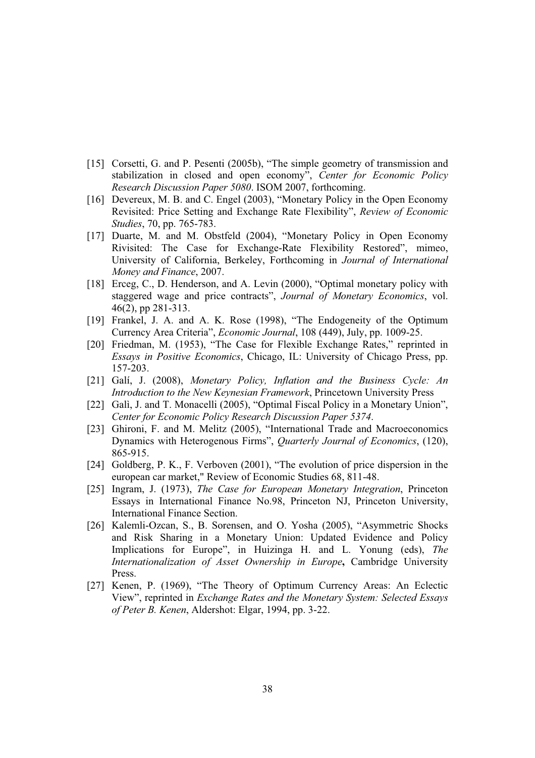- [15] Corsetti, G. and P. Pesenti (2005b), "The simple geometry of transmission and stabilization in closed and open economy", *Center for Economic Policy Research Discussion Paper 5080*. ISOM 2007, forthcoming.
- [16] Devereux, M. B. and C. Engel (2003), "Monetary Policy in the Open Economy Revisited: Price Setting and Exchange Rate Flexibility", *Review of Economic Studies*, 70, pp. 765-783.
- [17] Duarte, M. and M. Obstfeld (2004), "Monetary Policy in Open Economy Rivisited: The Case for Exchange-Rate Flexibility Restored", mimeo, University of California, Berkeley, Forthcoming in *Journal of International Money and Finance*, 2007.
- [18] Erceg, C., D. Henderson, and A. Levin (2000), "Optimal monetary policy with staggered wage and price contracts", *Journal of Monetary Economics*, vol. 46(2), pp 281-313.
- [19] Frankel, J. A. and A. K. Rose (1998), "The Endogeneity of the Optimum Currency Area Criteria", *Economic Journal*, 108 (449), July, pp. 1009-25.
- [20] Friedman, M. (1953), "The Case for Flexible Exchange Rates," reprinted in *Essays in Positive Economics*, Chicago, IL: University of Chicago Press, pp. 157-203.
- [21] Galí, J. (2008), *Monetary Policy, Inflation and the Business Cycle: An Introduction to the New Keynesian Framework*, Princetown University Press
- [22] Galì, J. and T. Monacelli (2005), "Optimal Fiscal Policy in a Monetary Union", *Center for Economic Policy Research Discussion Paper 5374*.
- [23] Ghironi, F. and M. Melitz (2005), "International Trade and Macroeconomics Dynamics with Heterogenous Firms", *Quarterly Journal of Economics*, (120), 865-915.
- [24] Goldberg, P. K., F. Verboven (2001), "The evolution of price dispersion in the european car market," Review of Economic Studies 68, 811-48.
- [25] Ingram, J. (1973), *The Case for European Monetary Integration*, Princeton Essays in International Finance No.98, Princeton NJ, Princeton University, International Finance Section.
- [26] Kalemli-Ozcan, S., B. Sorensen, and O. Yosha (2005), "Asymmetric Shocks and Risk Sharing in a Monetary Union: Updated Evidence and Policy Implications for Europe", in Huizinga H. and L. Yonung (eds), *The Internationalization of Asset Ownership in Europe***,** Cambridge University Press.
- [27] Kenen, P. (1969), "The Theory of Optimum Currency Areas: An Eclectic View", reprinted in *Exchange Rates and the Monetary System: Selected Essays of Peter B. Kenen*, Aldershot: Elgar, 1994, pp. 3-22.